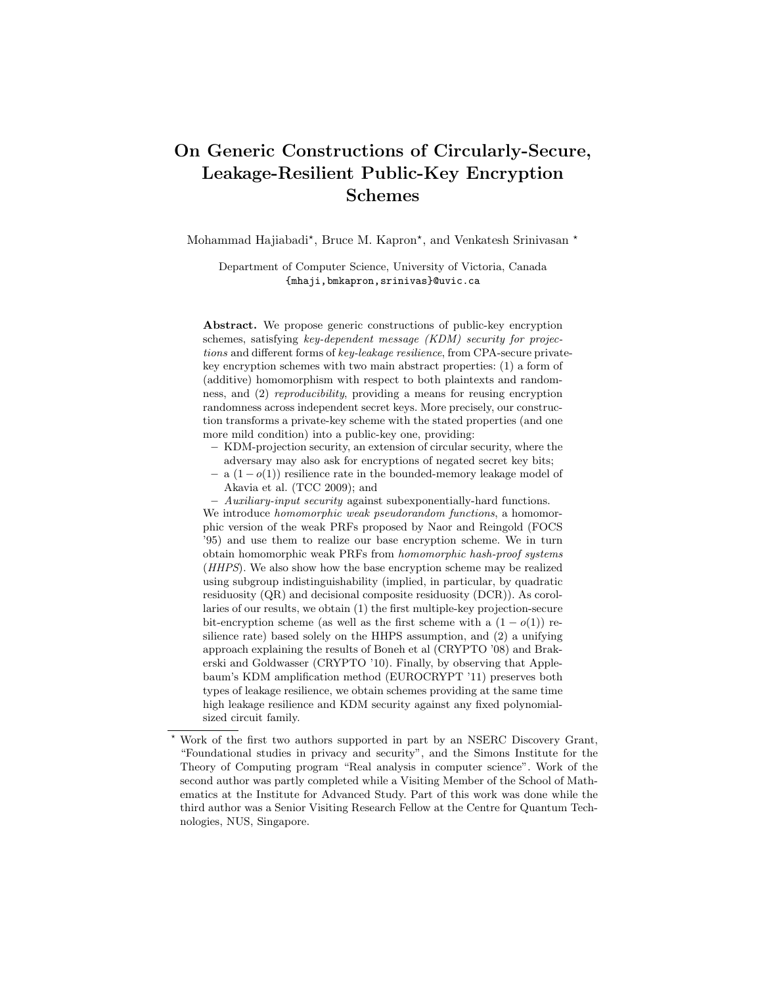# On Generic Constructions of Circularly-Secure, Leakage-Resilient Public-Key Encryption Schemes

Mohammad Hajiabadi\*, Bruce M. Kapron\*, and Venkatesh Srinivasan \*

Department of Computer Science, University of Victoria, Canada {mhaji,bmkapron,srinivas}@uvic.ca

Abstract. We propose generic constructions of public-key encryption schemes, satisfying key-dependent message *(KDM)* security for projections and different forms of key-leakage resilience, from CPA-secure privatekey encryption schemes with two main abstract properties: (1) a form of (additive) homomorphism with respect to both plaintexts and randomness, and (2) reproducibility, providing a means for reusing encryption randomness across independent secret keys. More precisely, our construction transforms a private-key scheme with the stated properties (and one more mild condition) into a public-key one, providing:

- KDM-projection security, an extension of circular security, where the adversary may also ask for encryptions of negated secret key bits;
- $-$  a  $(1-o(1))$  resilience rate in the bounded-memory leakage model of Akavia et al. (TCC 2009); and
- Auxiliary-input security against subexponentially-hard functions.

We introduce *homomorphic weak pseudorandom functions*, a homomorphic version of the weak PRFs proposed by Naor and Reingold (FOCS '95) and use them to realize our base encryption scheme. We in turn obtain homomorphic weak PRFs from homomorphic hash-proof systems (HHPS). We also show how the base encryption scheme may be realized using subgroup indistinguishability (implied, in particular, by quadratic residuosity (QR) and decisional composite residuosity (DCR)). As corollaries of our results, we obtain (1) the first multiple-key projection-secure bit-encryption scheme (as well as the first scheme with a  $(1 - o(1))$  resilience rate) based solely on the HHPS assumption, and (2) a unifying approach explaining the results of Boneh et al (CRYPTO '08) and Brakerski and Goldwasser (CRYPTO '10). Finally, by observing that Applebaum's KDM amplification method (EUROCRYPT '11) preserves both types of leakage resilience, we obtain schemes providing at the same time high leakage resilience and KDM security against any fixed polynomialsized circuit family.

<sup>?</sup> Work of the first two authors supported in part by an NSERC Discovery Grant, "Foundational studies in privacy and security", and the Simons Institute for the Theory of Computing program "Real analysis in computer science". Work of the second author was partly completed while a Visiting Member of the School of Mathematics at the Institute for Advanced Study. Part of this work was done while the third author was a Senior Visiting Research Fellow at the Centre for Quantum Technologies, NUS, Singapore.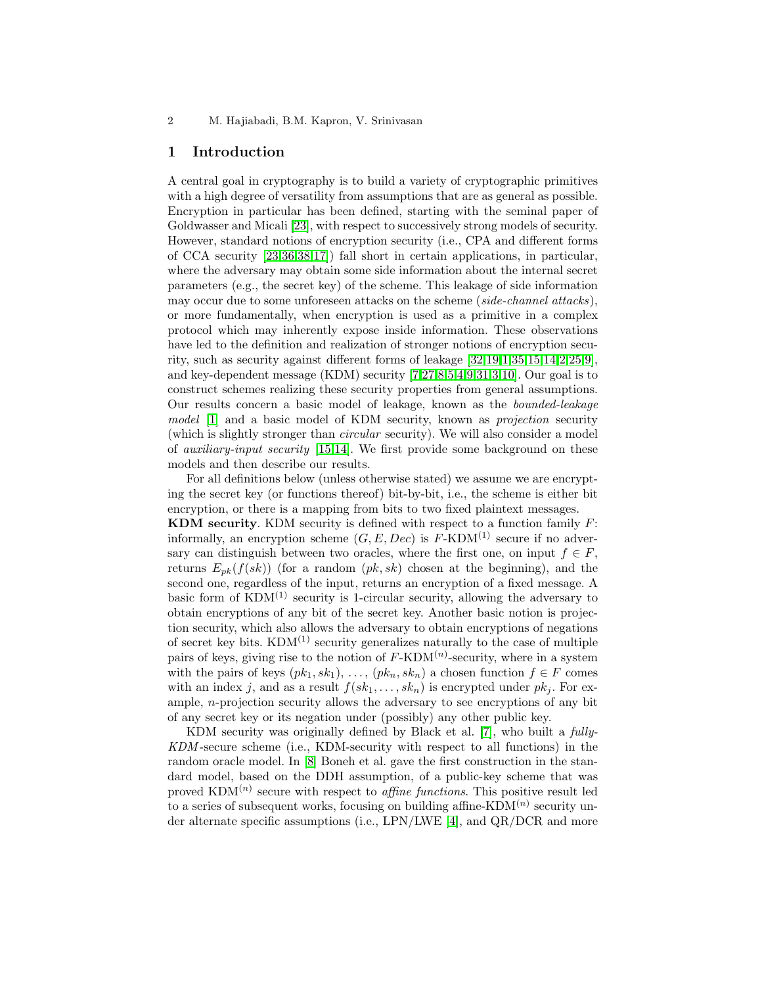# 1 Introduction

A central goal in cryptography is to build a variety of cryptographic primitives with a high degree of versatility from assumptions that are as general as possible. Encryption in particular has been defined, starting with the seminal paper of Goldwasser and Micali [\[23\]](#page-28-0), with respect to successively strong models of security. However, standard notions of encryption security (i.e., CPA and different forms of CCA security [\[23,](#page-28-0)[36,](#page-29-0)[38](#page-29-1)[,17\]](#page-28-1)) fall short in certain applications, in particular, where the adversary may obtain some side information about the internal secret parameters (e.g., the secret key) of the scheme. This leakage of side information may occur due to some unforeseen attacks on the scheme (side-channel attacks), or more fundamentally, when encryption is used as a primitive in a complex protocol which may inherently expose inside information. These observations have led to the definition and realization of stronger notions of encryption security, such as security against different forms of leakage [\[32,](#page-29-2)[19,](#page-28-2)[1,](#page-27-0)[35,](#page-29-3)[15,](#page-28-3)[14,](#page-28-4)[2,](#page-27-1)[25,](#page-29-4)[9\]](#page-28-5), and key-dependent message (KDM) security [\[7](#page-28-6)[,27,](#page-29-5)[8,](#page-28-7)[5,](#page-28-8)[4](#page-28-9)[,9,](#page-28-5)[31,](#page-29-6)[3,](#page-27-2)[10\]](#page-28-10). Our goal is to construct schemes realizing these security properties from general assumptions. Our results concern a basic model of leakage, known as the bounded-leakage model [\[1\]](#page-27-0) and a basic model of KDM security, known as *projection* security (which is slightly stronger than circular security). We will also consider a model of auxiliary-input security [\[15,](#page-28-3)[14\]](#page-28-4). We first provide some background on these models and then describe our results.

For all definitions below (unless otherwise stated) we assume we are encrypting the secret key (or functions thereof) bit-by-bit, i.e., the scheme is either bit encryption, or there is a mapping from bits to two fixed plaintext messages.

**KDM security.** KDM security is defined with respect to a function family  $F$ : informally, an encryption scheme  $(G, E, Dec)$  is F-KDM<sup>(1)</sup> secure if no adversary can distinguish between two oracles, where the first one, on input  $f \in F$ , returns  $E_{pk}(f(sk))$  (for a random  $(pk, sk)$  chosen at the beginning), and the second one, regardless of the input, returns an encryption of a fixed message. A basic form of  $KDM<sup>(1)</sup>$  security is 1-circular security, allowing the adversary to obtain encryptions of any bit of the secret key. Another basic notion is projection security, which also allows the adversary to obtain encryptions of negations of secret key bits.  $KDM^{(1)}$  security generalizes naturally to the case of multiple pairs of keys, giving rise to the notion of  $F\text{-}\text{KDM}^{(n)}\text{-}\text{security}$ , where in a system with the pairs of keys  $(pk_1, sk_1), \ldots, (pk_n, sk_n)$  a chosen function  $f \in F$  comes with an index j, and as a result  $f(sk_1, \ldots, sk_n)$  is encrypted under  $pk_i$ . For example, n-projection security allows the adversary to see encryptions of any bit of any secret key or its negation under (possibly) any other public key.

KDM security was originally defined by Black et al. [\[7\]](#page-28-6), who built a fully-KDM -secure scheme (i.e., KDM-security with respect to all functions) in the random oracle model. In [\[8\]](#page-28-7) Boneh et al. gave the first construction in the standard model, based on the DDH assumption, of a public-key scheme that was proved  $KDM^{(n)}$  secure with respect to *affine functions*. This positive result led to a series of subsequent works, focusing on building affine-KDM $^{(n)}$  security under alternate specific assumptions (i.e., LPN/LWE [\[4\]](#page-28-9), and QR/DCR and more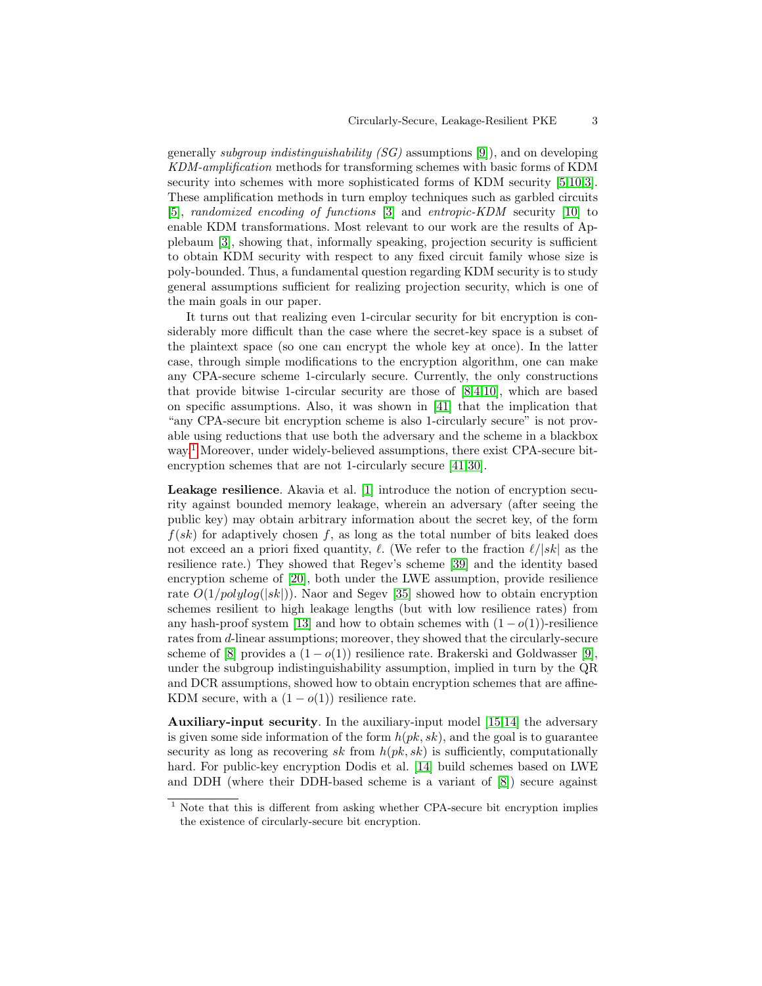generally *subgroup indistinguishability*  $(SG)$  assumptions [\[9\]](#page-28-5)), and on developing KDM-amplification methods for transforming schemes with basic forms of KDM security into schemes with more sophisticated forms of KDM security [\[5,](#page-28-8)[10,](#page-28-10)[3\]](#page-27-2). These amplification methods in turn employ techniques such as garbled circuits [\[5\]](#page-28-8), randomized encoding of functions [\[3\]](#page-27-2) and entropic-KDM security [\[10\]](#page-28-10) to enable KDM transformations. Most relevant to our work are the results of Applebaum [\[3\]](#page-27-2), showing that, informally speaking, projection security is sufficient to obtain KDM security with respect to any fixed circuit family whose size is poly-bounded. Thus, a fundamental question regarding KDM security is to study general assumptions sufficient for realizing projection security, which is one of the main goals in our paper.

It turns out that realizing even 1-circular security for bit encryption is considerably more difficult than the case where the secret-key space is a subset of the plaintext space (so one can encrypt the whole key at once). In the latter case, through simple modifications to the encryption algorithm, one can make any CPA-secure scheme 1-circularly secure. Currently, the only constructions that provide bitwise 1-circular security are those of [\[8,](#page-28-7)[4,](#page-28-9)[10\]](#page-28-10), which are based on specific assumptions. Also, it was shown in [\[41\]](#page-29-7) that the implication that "any CPA-secure bit encryption scheme is also 1-circularly secure" is not provable using reductions that use both the adversary and the scheme in a blackbox way.<sup>[1](#page-2-0)</sup> Moreover, under widely-believed assumptions, there exist CPA-secure bit-encryption schemes that are not 1-circularly secure [\[41,](#page-29-7)[30\]](#page-29-8).

Leakage resilience. Akavia et al. [\[1\]](#page-27-0) introduce the notion of encryption security against bounded memory leakage, wherein an adversary (after seeing the public key) may obtain arbitrary information about the secret key, of the form  $f(sk)$  for adaptively chosen f, as long as the total number of bits leaked does not exceed an a priori fixed quantity,  $\ell$ . (We refer to the fraction  $\ell/|sk|$  as the resilience rate.) They showed that Regev's scheme [\[39\]](#page-29-9) and the identity based encryption scheme of [\[20\]](#page-28-11), both under the LWE assumption, provide resilience rate  $O(1/polylog(|sk|))$ . Naor and Segev [\[35\]](#page-29-3) showed how to obtain encryption schemes resilient to high leakage lengths (but with low resilience rates) from any hash-proof system [\[13\]](#page-28-12) and how to obtain schemes with  $(1 - o(1))$ -resilience rates from d-linear assumptions; moreover, they showed that the circularly-secure scheme of [\[8\]](#page-28-7) provides a  $(1 - o(1))$  resilience rate. Brakerski and Goldwasser [\[9\]](#page-28-5), under the subgroup indistinguishability assumption, implied in turn by the QR and DCR assumptions, showed how to obtain encryption schemes that are affine-KDM secure, with a  $(1 - o(1))$  resilience rate.

Auxiliary-input security. In the auxiliary-input model [\[15](#page-28-3)[,14\]](#page-28-4) the adversary is given some side information of the form  $h(pk, sk)$ , and the goal is to guarantee security as long as recovering sk from  $h(pk, sk)$  is sufficiently, computationally hard. For public-key encryption Dodis et al. [\[14\]](#page-28-4) build schemes based on LWE and DDH (where their DDH-based scheme is a variant of [\[8\]](#page-28-7)) secure against

<span id="page-2-0"></span><sup>&</sup>lt;sup>1</sup> Note that this is different from asking whether CPA-secure bit encryption implies the existence of circularly-secure bit encryption.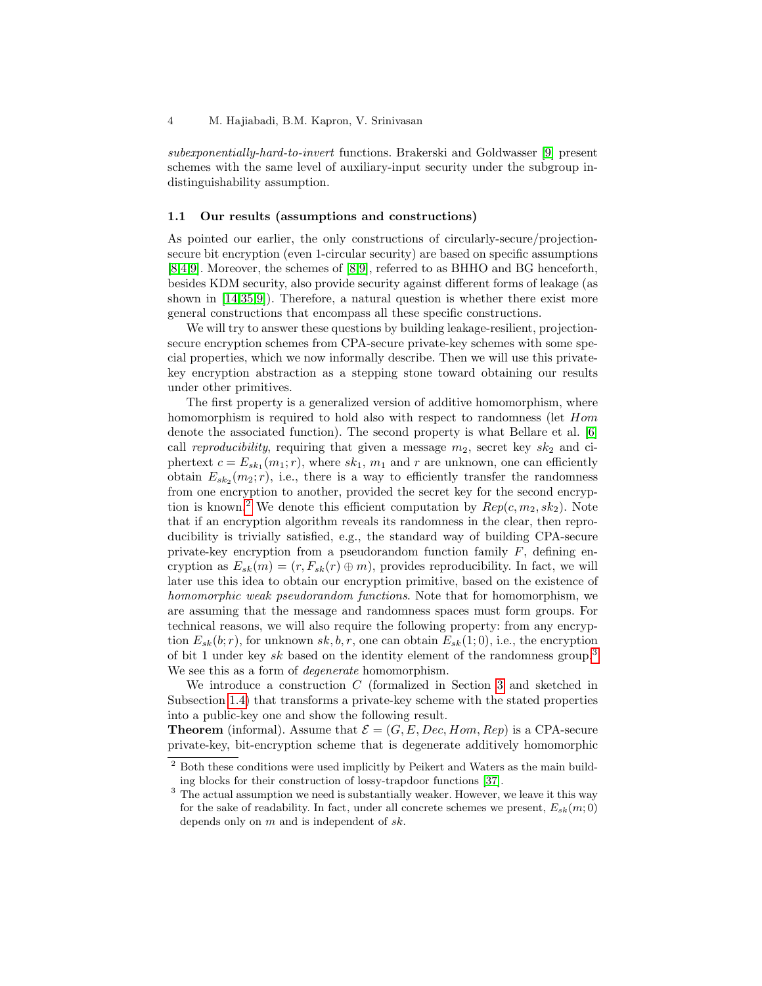subexponentially-hard-to-invert functions. Brakerski and Goldwasser [\[9\]](#page-28-5) present schemes with the same level of auxiliary-input security under the subgroup indistinguishability assumption.

#### 1.1 Our results (assumptions and constructions)

As pointed our earlier, the only constructions of circularly-secure/projectionsecure bit encryption (even 1-circular security) are based on specific assumptions [\[8,](#page-28-7)[4](#page-28-9)[,9\]](#page-28-5). Moreover, the schemes of [\[8,](#page-28-7)[9\]](#page-28-5), referred to as BHHO and BG henceforth, besides KDM security, also provide security against different forms of leakage (as shown in [\[14,](#page-28-4)[35,](#page-29-3)[9\]](#page-28-5)). Therefore, a natural question is whether there exist more general constructions that encompass all these specific constructions.

We will try to answer these questions by building leakage-resilient, projectionsecure encryption schemes from CPA-secure private-key schemes with some special properties, which we now informally describe. Then we will use this privatekey encryption abstraction as a stepping stone toward obtaining our results under other primitives.

The first property is a generalized version of additive homomorphism, where homomorphism is required to hold also with respect to randomness (let  $Hom$ denote the associated function). The second property is what Bellare et al. [\[6\]](#page-28-13) call *reproducibility*, requiring that given a message  $m_2$ , secret key  $sk_2$  and ciphertext  $c = E_{sk_1}(m_1; r)$ , where  $sk_1$ ,  $m_1$  and  $r$  are unknown, one can efficiently obtain  $E_{sk_2}(m_2; r)$ , i.e., there is a way to efficiently transfer the randomness from one encryption to another, provided the secret key for the second encryp-tion is known.<sup>[2](#page-3-0)</sup> We denote this efficient computation by  $Rep(c, m_2, sk_2)$ . Note that if an encryption algorithm reveals its randomness in the clear, then reproducibility is trivially satisfied, e.g., the standard way of building CPA-secure private-key encryption from a pseudorandom function family  $F$ , defining encryption as  $E_{sk}(m) = (r, F_{sk}(r) \oplus m)$ , provides reproducibility. In fact, we will later use this idea to obtain our encryption primitive, based on the existence of homomorphic weak pseudorandom functions. Note that for homomorphism, we are assuming that the message and randomness spaces must form groups. For technical reasons, we will also require the following property: from any encryption  $E_{sk}(b; r)$ , for unknown  $sk, b, r$ , one can obtain  $E_{sk}(1; 0)$ , i.e., the encryption of bit 1 under key sk based on the identity element of the randomness group.<sup>[3](#page-3-1)</sup> We see this as a form of *degenerate* homomorphism.

We introduce a construction C (formalized in Section [3](#page-12-0) and sketched in Subsection [1.4\)](#page-6-0) that transforms a private-key scheme with the stated properties into a public-key one and show the following result.

**Theorem** (informal). Assume that  $\mathcal{E} = (G, E, Dec, Hom, Rep)$  is a CPA-secure private-key, bit-encryption scheme that is degenerate additively homomorphic

<span id="page-3-0"></span><sup>&</sup>lt;sup>2</sup> Both these conditions were used implicitly by Peikert and Waters as the main building blocks for their construction of lossy-trapdoor functions [\[37\]](#page-29-10).

<span id="page-3-1"></span><sup>&</sup>lt;sup>3</sup> The actual assumption we need is substantially weaker. However, we leave it this way for the sake of readability. In fact, under all concrete schemes we present,  $E_{sk}(m; 0)$ depends only on  $m$  and is independent of  $sk$ .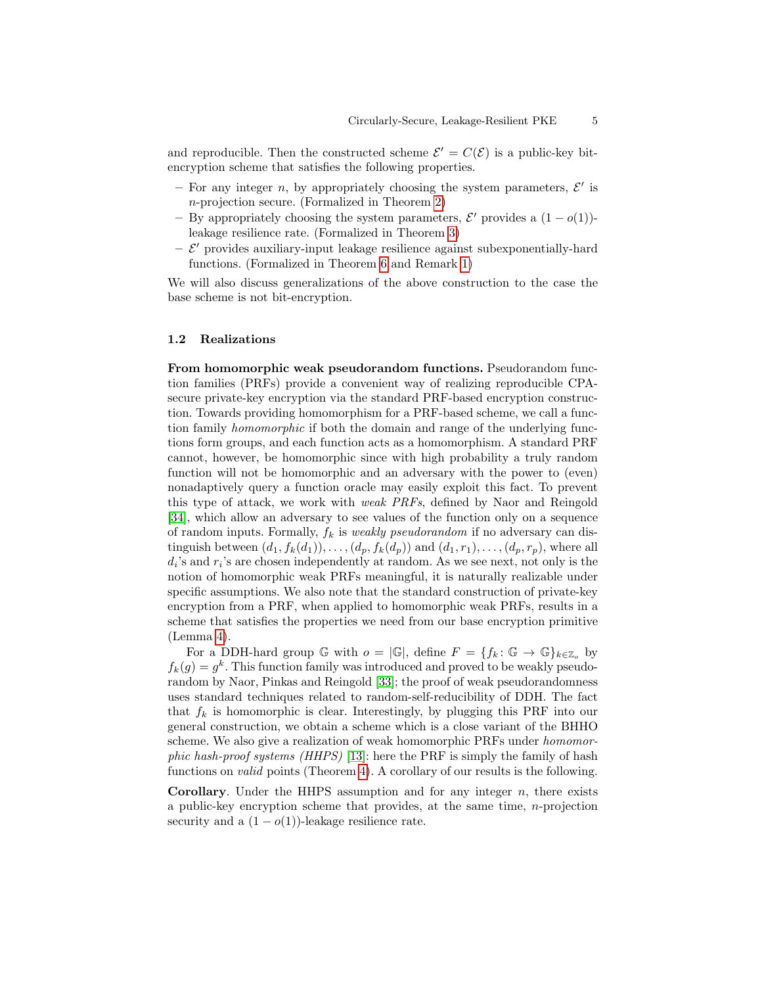and reproducible. Then the constructed scheme  $\mathcal{E}' = C(\mathcal{E})$  is a public-key bitencryption scheme that satisfies the following properties.

- For any integer n, by appropriately choosing the system parameters,  $\mathcal{E}'$  is n-projection secure. (Formalized in Theorem [2\)](#page-18-0)
- By appropriately choosing the system parameters,  $\mathcal{E}'$  provides a  $(1 o(1))$ leakage resilience rate. (Formalized in Theorem [3\)](#page-18-1)
- $\mathcal{E}'$  provides auxiliary-input leakage resilience against subexponentially-hard functions. (Formalized in Theorem [6](#page-25-0) and Remark [1\)](#page-26-0)

We will also discuss generalizations of the above construction to the case the base scheme is not bit-encryption.

# 1.2 Realizations

From homomorphic weak pseudorandom functions. Pseudorandom function families (PRFs) provide a convenient way of realizing reproducible CPAsecure private-key encryption via the standard PRF-based encryption construction. Towards providing homomorphism for a PRF-based scheme, we call a function family homomorphic if both the domain and range of the underlying functions form groups, and each function acts as a homomorphism. A standard PRF cannot, however, be homomorphic since with high probability a truly random function will not be homomorphic and an adversary with the power to (even) nonadaptively query a function oracle may easily exploit this fact. To prevent this type of attack, we work with weak PRFs, defined by Naor and Reingold [\[34\]](#page-29-11), which allow an adversary to see values of the function only on a sequence of random inputs. Formally,  $f_k$  is *weakly pseudorandom* if no adversary can distinguish between  $(d_1, f_k(d_1)), \ldots, (d_p, f_k(d_p))$  and  $(d_1, r_1), \ldots, (d_p, r_p)$ , where all  $d_i$ 's and  $r_i$ 's are chosen independently at random. As we see next, not only is the notion of homomorphic weak PRFs meaningful, it is naturally realizable under specific assumptions. We also note that the standard construction of private-key encryption from a PRF, when applied to homomorphic weak PRFs, results in a scheme that satisfies the properties we need from our base encryption primitive (Lemma [4\)](#page-21-0).

For a DDH-hard group G with  $o = |\mathbb{G}|$ , define  $F = \{f_k : \mathbb{G} \to \mathbb{G}\}_{k \in \mathbb{Z}_0}$  by  $f_k(g) = g^k$ . This function family was introduced and proved to be weakly pseudorandom by Naor, Pinkas and Reingold [\[33\]](#page-29-12); the proof of weak pseudorandomness uses standard techniques related to random-self-reducibility of DDH. The fact that  $f_k$  is homomorphic is clear. Interestingly, by plugging this PRF into our general construction, we obtain a scheme which is a close variant of the BHHO scheme. We also give a realization of weak homomorphic PRFs under *homomor*phic hash-proof systems (HHPS) [\[13\]](#page-28-12): here the PRF is simply the family of hash functions on valid points (Theorem [4\)](#page-22-0). A corollary of our results is the following.

**Corollary.** Under the HHPS assumption and for any integer  $n$ , there exists a public-key encryption scheme that provides, at the same time, n-projection security and a  $(1 - o(1))$ -leakage resilience rate.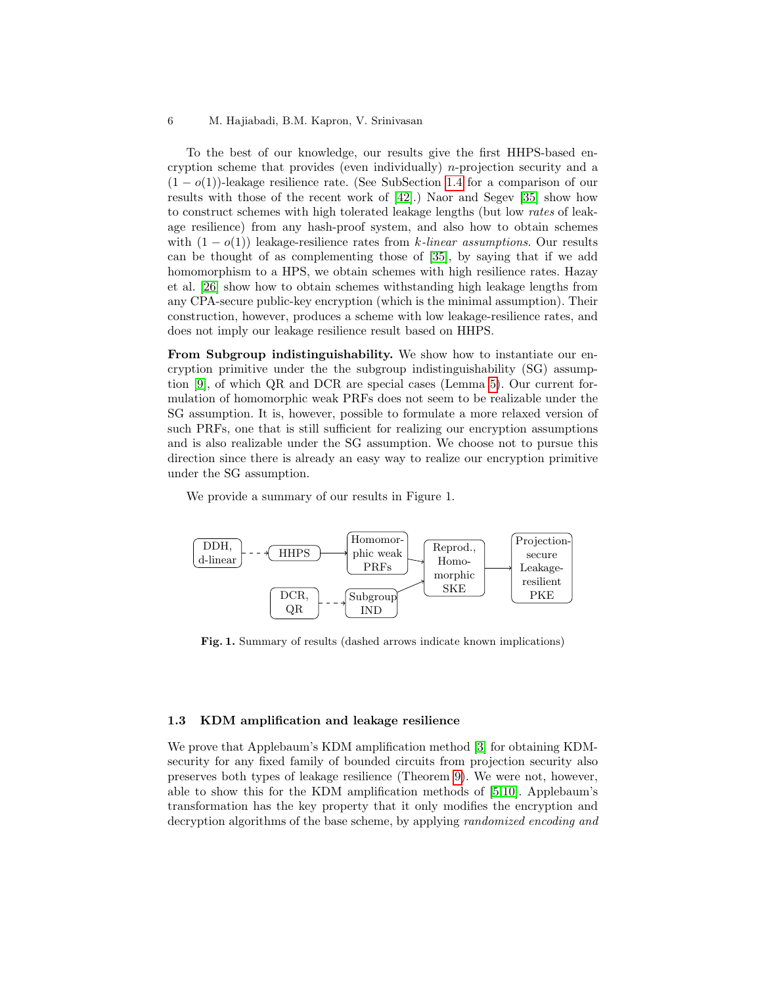To the best of our knowledge, our results give the first HHPS-based encryption scheme that provides (even individually) n-projection security and a  $(1 - o(1))$ -leakage resilience rate. (See SubSection [1.4](#page-6-0) for a comparison of our results with those of the recent work of [\[42\]](#page-29-13).) Naor and Segev [\[35\]](#page-29-3) show how to construct schemes with high tolerated leakage lengths (but low rates of leakage resilience) from any hash-proof system, and also how to obtain schemes with  $(1 - o(1))$  leakage-resilience rates from k-linear assumptions. Our results can be thought of as complementing those of [\[35\]](#page-29-3), by saying that if we add homomorphism to a HPS, we obtain schemes with high resilience rates. Hazay et al. [\[26\]](#page-29-14) show how to obtain schemes withstanding high leakage lengths from any CPA-secure public-key encryption (which is the minimal assumption). Their construction, however, produces a scheme with low leakage-resilience rates, and does not imply our leakage resilience result based on HHPS.

From Subgroup indistinguishability. We show how to instantiate our encryption primitive under the the subgroup indistinguishability (SG) assumption [\[9\]](#page-28-5), of which QR and DCR are special cases (Lemma [5\)](#page-23-0). Our current formulation of homomorphic weak PRFs does not seem to be realizable under the SG assumption. It is, however, possible to formulate a more relaxed version of such PRFs, one that is still sufficient for realizing our encryption assumptions and is also realizable under the SG assumption. We choose not to pursue this direction since there is already an easy way to realize our encryption primitive under the SG assumption.

We provide a summary of our results in Figure 1.



Fig. 1. Summary of results (dashed arrows indicate known implications)

# 1.3 KDM amplification and leakage resilience

We prove that Applebaum's KDM amplification method [\[3\]](#page-27-2) for obtaining KDMsecurity for any fixed family of bounded circuits from projection security also preserves both types of leakage resilience (Theorem [9\)](#page-27-3). We were not, however, able to show this for the KDM amplification methods of [\[5,](#page-28-8)[10\]](#page-28-10). Applebaum's transformation has the key property that it only modifies the encryption and decryption algorithms of the base scheme, by applying randomized encoding and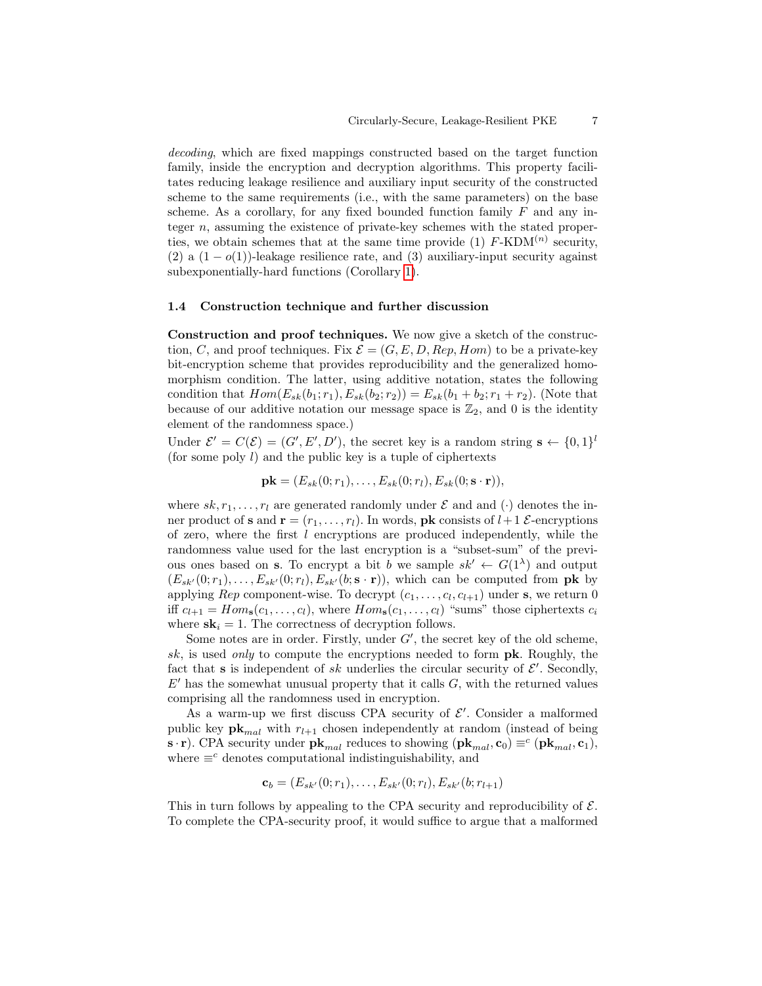decoding, which are fixed mappings constructed based on the target function family, inside the encryption and decryption algorithms. This property facilitates reducing leakage resilience and auxiliary input security of the constructed scheme to the same requirements (i.e., with the same parameters) on the base scheme. As a corollary, for any fixed bounded function family  $F$  and any integer  $n$ , assuming the existence of private-key schemes with the stated properties, we obtain schemes that at the same time provide (1)  $F\text{-}\text{KDM}^{(n)}$  security, (2) a  $(1-o(1))$ -leakage resilience rate, and (3) auxiliary-input security against subexponentially-hard functions (Corollary [1\)](#page-27-4).

### <span id="page-6-0"></span>1.4 Construction technique and further discussion

Construction and proof techniques. We now give a sketch of the construction, C, and proof techniques. Fix  $\mathcal{E} = (G, E, D, Rep, Hom)$  to be a private-key bit-encryption scheme that provides reproducibility and the generalized homomorphism condition. The latter, using additive notation, states the following condition that  $Hom(E_{sk}(b_1; r_1), E_{sk}(b_2; r_2)) = E_{sk}(b_1 + b_2; r_1 + r_2)$ . (Note that because of our additive notation our message space is  $\mathbb{Z}_2$ , and 0 is the identity element of the randomness space.)

Under  $\mathcal{E}' = C(\mathcal{E}) = (G', E', D')$ , the secret key is a random string  $\mathbf{s} \leftarrow \{0, 1\}^l$ (for some poly  $l$ ) and the public key is a tuple of ciphertexts

$$
\mathbf{pk} = (E_{sk}(0; r_1), \dots, E_{sk}(0; r_l), E_{sk}(0; \mathbf{s} \cdot \mathbf{r})),
$$

where  $sk, r_1, \ldots, r_l$  are generated randomly under  $\mathcal E$  and and  $(\cdot)$  denotes the inner product of **s** and  $\mathbf{r} = (r_1, \ldots, r_l)$ . In words, **pk** consists of  $l+1$  *E*-encryptions of zero, where the first  $l$  encryptions are produced independently, while the randomness value used for the last encryption is a "subset-sum" of the previous ones based on s. To encrypt a bit b we sample  $sk' \leftarrow G(1^{\lambda})$  and output  $(E_{sk}(0; r_1), \ldots, E_{sk}(0; r_l), E_{sk}(b; \mathbf{s} \cdot \mathbf{r}))$ , which can be computed from **pk** by applying *Rep* component-wise. To decrypt  $(c_1, \ldots, c_l, c_{l+1})$  under s, we return 0 iff  $c_{l+1} = Hom_s(c_1, \ldots, c_l)$ , where  $Hom_s(c_1, \ldots, c_l)$  "sums" those ciphertexts  $c_i$ where  $s\mathbf{k}_i = 1$ . The correctness of decryption follows.

Some notes are in order. Firstly, under  $G'$ , the secret key of the old scheme, sk, is used only to compute the encryptions needed to form  $pk$ . Roughly, the fact that s is independent of sk underlies the circular security of  $\mathcal{E}'$ . Secondly,  $E'$  has the somewhat unusual property that it calls  $G$ , with the returned values comprising all the randomness used in encryption.

As a warm-up we first discuss CPA security of  $\mathcal{E}'$ . Consider a malformed public key  $\mathbf{pk}_{mal}$  with  $r_{l+1}$  chosen independently at random (instead of being  $\mathbf{s} \cdot \mathbf{r}$ ). CPA security under  $\mathbf{pk}_{mal}$  reduces to showing  $(\mathbf{pk}_{mal}, \mathbf{c}_0) \equiv^c (\mathbf{pk}_{mal}, \mathbf{c}_1)$ , where  $\equiv^c$  denotes computational indistinguishability, and

$$
\mathbf{c}_b = (E_{sk'}(0; r_1), \dots, E_{sk'}(0; r_l), E_{sk'}(b; r_{l+1})
$$

This in turn follows by appealing to the CPA security and reproducibility of  $\mathcal{E}$ . To complete the CPA-security proof, it would suffice to argue that a malformed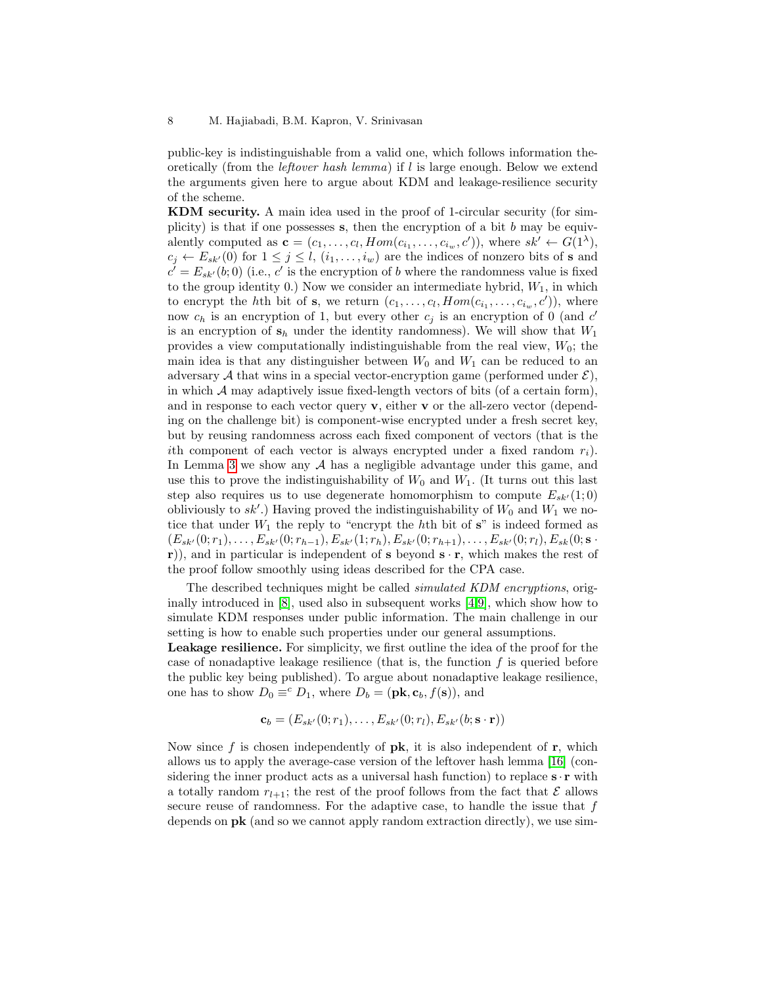public-key is indistinguishable from a valid one, which follows information theoretically (from the *leftover hash lemma*) if  $l$  is large enough. Below we extend the arguments given here to argue about KDM and leakage-resilience security of the scheme.

KDM security. A main idea used in the proof of 1-circular security (for simplicity) is that if one possesses  $s$ , then the encryption of a bit  $b$  may be equivalently computed as  $\mathbf{c} = (c_1, \ldots, c_l, Hom(c_{i_1}, \ldots, c_{i_w}, c'))$ , where  $sk' \leftarrow G(1^{\lambda}),$  $c_j \leftarrow E_{sk'}(0)$  for  $1 \leq j \leq l$ ,  $(i_1, \ldots, i_w)$  are the indices of nonzero bits of s and  $c' = E_{sk'}(b;0)$  (i.e., c' is the encryption of b where the randomness value is fixed to the group identity 0.) Now we consider an intermediate hybrid,  $W_1$ , in which to encrypt the hth bit of **s**, we return  $(c_1, \ldots, c_l, Hom(c_{i_1}, \ldots, c_{i_w}, c'))$ , where now  $c_h$  is an encryption of 1, but every other  $c_j$  is an encryption of 0 (and  $c'$ is an encryption of  $s_h$  under the identity randomness). We will show that  $W_1$ provides a view computationally indistinguishable from the real view,  $W_0$ ; the main idea is that any distinguisher between  $W_0$  and  $W_1$  can be reduced to an adversary A that wins in a special vector-encryption game (performed under  $\mathcal{E}$ ), in which  $A$  may adaptively issue fixed-length vectors of bits (of a certain form), and in response to each vector query  $\mathbf{v}$ , either  $\mathbf{v}$  or the all-zero vector (depending on the challenge bit) is component-wise encrypted under a fresh secret key, but by reusing randomness across each fixed component of vectors (that is the ith component of each vector is always encrypted under a fixed random  $r_i$ ). In Lemma [3](#page-15-0) we show any  $A$  has a negligible advantage under this game, and use this to prove the indistinguishability of  $W_0$  and  $W_1$ . (It turns out this last step also requires us to use degenerate homomorphism to compute  $E_{sk'}(1; 0)$ obliviously to  $sk'$ .) Having proved the indistinguishability of  $W_0$  and  $W_1$  we notice that under  $W_1$  the reply to "encrypt the hth bit of  $s$ " is indeed formed as  $(E_{sk'}(0; r_1), \ldots, E_{sk'}(0; r_{h-1}), E_{sk'}(1; r_h), E_{sk'}(0; r_{h+1}), \ldots, E_{sk'}(0; r_l), E_{sk}(0; s \cdot$ r)), and in particular is independent of s beyond  $\mathbf{s} \cdot \mathbf{r}$ , which makes the rest of the proof follow smoothly using ideas described for the CPA case.

The described techniques might be called simulated KDM encryptions, originally introduced in [\[8\]](#page-28-7), used also in subsequent works [\[4,](#page-28-9)[9\]](#page-28-5), which show how to simulate KDM responses under public information. The main challenge in our setting is how to enable such properties under our general assumptions.

Leakage resilience. For simplicity, we first outline the idea of the proof for the case of nonadaptive leakage resilience (that is, the function  $f$  is queried before the public key being published). To argue about nonadaptive leakage resilience, one has to show  $D_0 \equiv^c D_1$ , where  $D_b = (\mathbf{pk}, \mathbf{c}_b, f(\mathbf{s}))$ , and

$$
\mathbf{c}_b = (E_{sk'}(0; r_1), \dots, E_{sk'}(0; r_l), E_{sk'}(b; \mathbf{s} \cdot \mathbf{r}))
$$

Now since f is chosen independently of  $pk$ , it is also independent of  $r$ , which allows us to apply the average-case version of the leftover hash lemma [\[16\]](#page-28-14) (considering the inner product acts as a universal hash function) to replace  $\mathbf{s} \cdot \mathbf{r}$  with a totally random  $r_{l+1}$ ; the rest of the proof follows from the fact that  $\mathcal E$  allows secure reuse of randomness. For the adaptive case, to handle the issue that  $f$ depends on  $\mathbf{pk}$  (and so we cannot apply random extraction directly), we use sim-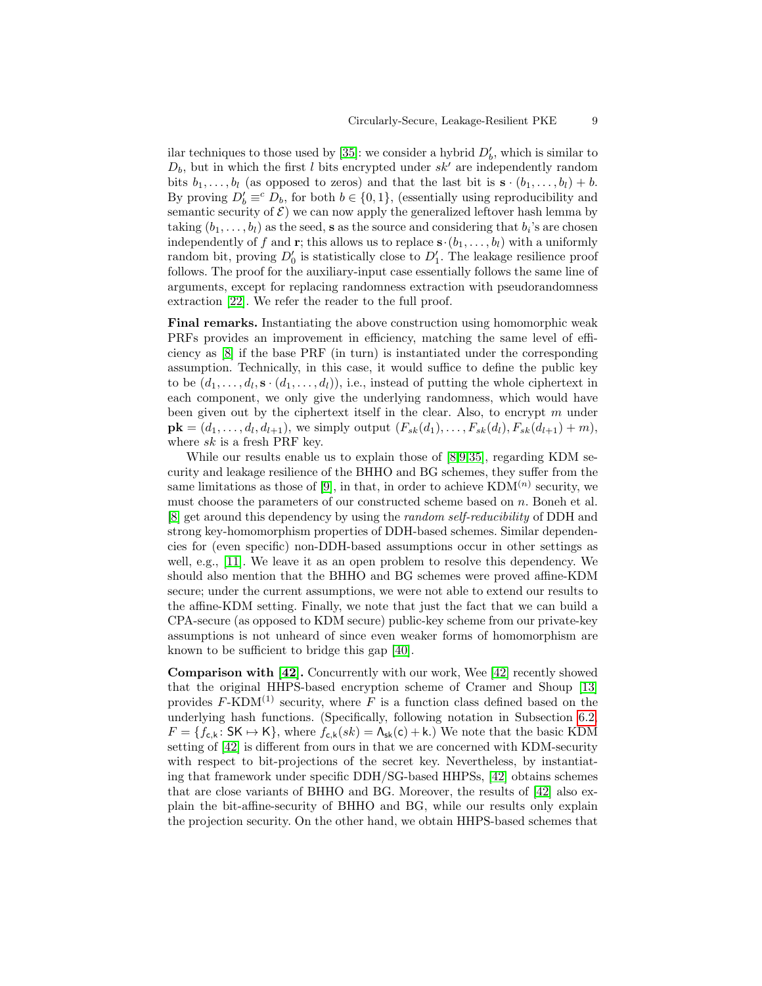ilar techniques to those used by [\[35\]](#page-29-3): we consider a hybrid  $D'_b$ , which is similar to  $D_b$ , but in which the first l bits encrypted under sk' are independently random bits  $b_1, \ldots, b_l$  (as opposed to zeros) and that the last bit is  $\mathbf{s} \cdot (b_1, \ldots, b_l) + b$ . By proving  $D'_b \equiv^c D_b$ , for both  $b \in \{0, 1\}$ , (essentially using reproducibility and semantic security of  $\mathcal{E}$ ) we can now apply the generalized leftover hash lemma by taking  $(b_1, \ldots, b_l)$  as the seed, **s** as the source and considering that  $b_i$ 's are chosen independently of f and **r**; this allows us to replace  $\mathbf{s} \cdot (b_1, \ldots, b_l)$  with a uniformly random bit, proving  $D'_0$  is statistically close to  $D'_1$ . The leakage resilience proof follows. The proof for the auxiliary-input case essentially follows the same line of arguments, except for replacing randomness extraction with pseudorandomness extraction [\[22\]](#page-28-15). We refer the reader to the full proof.

Final remarks. Instantiating the above construction using homomorphic weak PRFs provides an improvement in efficiency, matching the same level of efficiency as [\[8\]](#page-28-7) if the base PRF (in turn) is instantiated under the corresponding assumption. Technically, in this case, it would suffice to define the public key to be  $(d_1, \ldots, d_l, \mathbf{s} \cdot (d_1, \ldots, d_l))$ , i.e., instead of putting the whole ciphertext in each component, we only give the underlying randomness, which would have been given out by the ciphertext itself in the clear. Also, to encrypt  $m$  under  $\mathbf{pk} = (d_1, \ldots, d_l, d_{l+1}),$  we simply output  $(F_{sk}(d_1), \ldots, F_{sk}(d_l), F_{sk}(d_{l+1}) + m),$ where sk is a fresh PRF key.

While our results enable us to explain those of [\[8,](#page-28-7)[9,](#page-28-5)[35\]](#page-29-3), regarding KDM security and leakage resilience of the BHHO and BG schemes, they suffer from the same limitations as those of [\[9\]](#page-28-5), in that, in order to achieve  $KDM<sup>(n)</sup>$  security, we must choose the parameters of our constructed scheme based on  $n$ . Boneh et al. [\[8\]](#page-28-7) get around this dependency by using the random self-reducibility of DDH and strong key-homomorphism properties of DDH-based schemes. Similar dependencies for (even specific) non-DDH-based assumptions occur in other settings as well, e.g., [\[11\]](#page-28-16). We leave it as an open problem to resolve this dependency. We should also mention that the BHHO and BG schemes were proved affine-KDM secure; under the current assumptions, we were not able to extend our results to the affine-KDM setting. Finally, we note that just the fact that we can build a CPA-secure (as opposed to KDM secure) public-key scheme from our private-key assumptions is not unheard of since even weaker forms of homomorphism are known to be sufficient to bridge this gap [\[40\]](#page-29-15).

Comparison with [\[42\]](#page-29-13). Concurrently with our work, Wee [\[42\]](#page-29-13) recently showed that the original HHPS-based encryption scheme of Cramer and Shoup [\[13\]](#page-28-12) provides F-KDM<sup>(1)</sup> security, where F is a function class defined based on the underlying hash functions. (Specifically, following notation in Subsection [6.2,](#page-21-1)  $F = \{f_{\mathsf{c},\mathsf{k}}: \mathsf{SK} \mapsto \mathsf{K}\}\text{, where } f_{\mathsf{c},\mathsf{k}}(sk) = \Lambda_{\mathsf{sk}}(\mathsf{c}) + \mathsf{k}\text{.}$  We note that the basic KDM setting of [\[42\]](#page-29-13) is different from ours in that we are concerned with KDM-security with respect to bit-projections of the secret key. Nevertheless, by instantiating that framework under specific DDH/SG-based HHPSs, [\[42\]](#page-29-13) obtains schemes that are close variants of BHHO and BG. Moreover, the results of [\[42\]](#page-29-13) also explain the bit-affine-security of BHHO and BG, while our results only explain the projection security. On the other hand, we obtain HHPS-based schemes that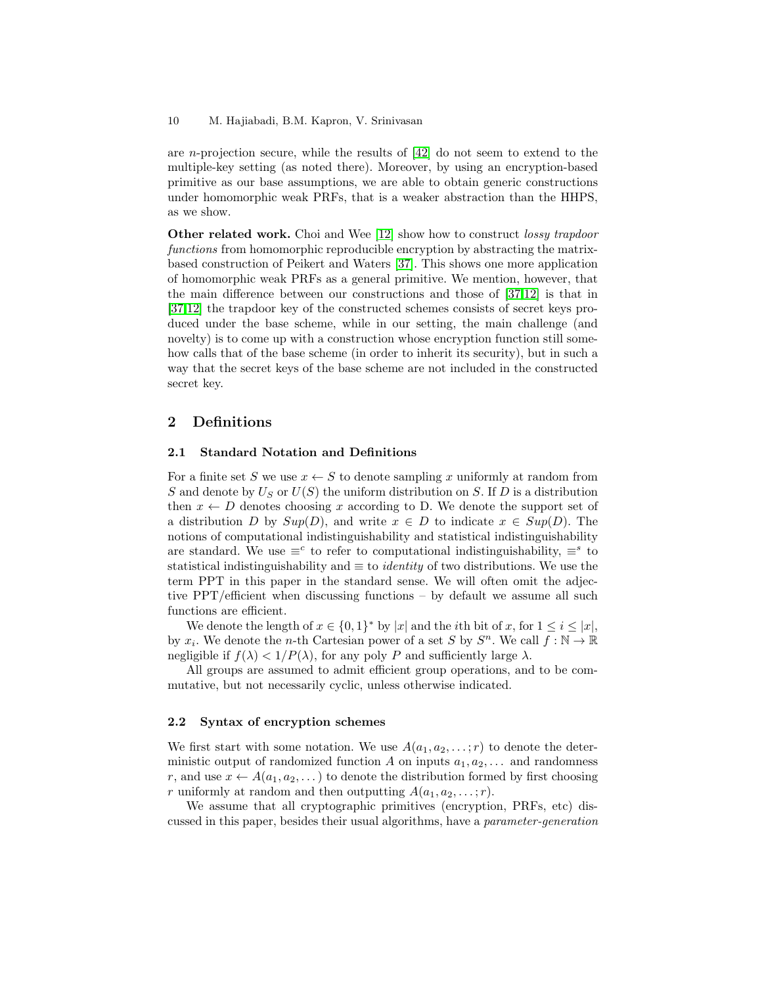are *n*-projection secure, while the results of  $[42]$  do not seem to extend to the multiple-key setting (as noted there). Moreover, by using an encryption-based primitive as our base assumptions, we are able to obtain generic constructions under homomorphic weak PRFs, that is a weaker abstraction than the HHPS, as we show.

Other related work. Choi and Wee [\[12\]](#page-28-17) show how to construct lossy trapdoor functions from homomorphic reproducible encryption by abstracting the matrixbased construction of Peikert and Waters [\[37\]](#page-29-10). This shows one more application of homomorphic weak PRFs as a general primitive. We mention, however, that the main difference between our constructions and those of [\[37](#page-29-10)[,12\]](#page-28-17) is that in [\[37](#page-29-10)[,12\]](#page-28-17) the trapdoor key of the constructed schemes consists of secret keys produced under the base scheme, while in our setting, the main challenge (and novelty) is to come up with a construction whose encryption function still somehow calls that of the base scheme (in order to inherit its security), but in such a way that the secret keys of the base scheme are not included in the constructed secret key.

# 2 Definitions

## 2.1 Standard Notation and Definitions

For a finite set S we use  $x \leftarrow S$  to denote sampling x uniformly at random from S and denote by  $U_S$  or  $U(S)$  the uniform distribution on S. If D is a distribution then  $x \leftarrow D$  denotes choosing x according to D. We denote the support set of a distribution D by  $Sup(D)$ , and write  $x \in D$  to indicate  $x \in Sup(D)$ . The notions of computational indistinguishability and statistical indistinguishability are standard. We use  $\equiv^c$  to refer to computational indistinguishability,  $\equiv^s$  to statistical indistinguishability and  $\equiv$  to *identity* of two distributions. We use the term PPT in this paper in the standard sense. We will often omit the adjective PPT/efficient when discussing functions – by default we assume all such functions are efficient.

We denote the length of  $x \in \{0,1\}^*$  by |x| and the *i*th bit of x, for  $1 \leq i \leq |x|$ , by  $x_i$ . We denote the *n*-th Cartesian power of a set S by  $S^n$ . We call  $f : \mathbb{N} \to \mathbb{R}$ negligible if  $f(\lambda) < 1/P(\lambda)$ , for any poly P and sufficiently large  $\lambda$ .

All groups are assumed to admit efficient group operations, and to be commutative, but not necessarily cyclic, unless otherwise indicated.

#### 2.2 Syntax of encryption schemes

We first start with some notation. We use  $A(a_1, a_2, \ldots; r)$  to denote the deterministic output of randomized function A on inputs  $a_1, a_2, \ldots$  and randomness r, and use  $x \leftarrow A(a_1, a_2, \dots)$  to denote the distribution formed by first choosing r uniformly at random and then outputting  $A(a_1, a_2, \ldots; r)$ .

We assume that all cryptographic primitives (encryption, PRFs, etc) discussed in this paper, besides their usual algorithms, have a parameter-generation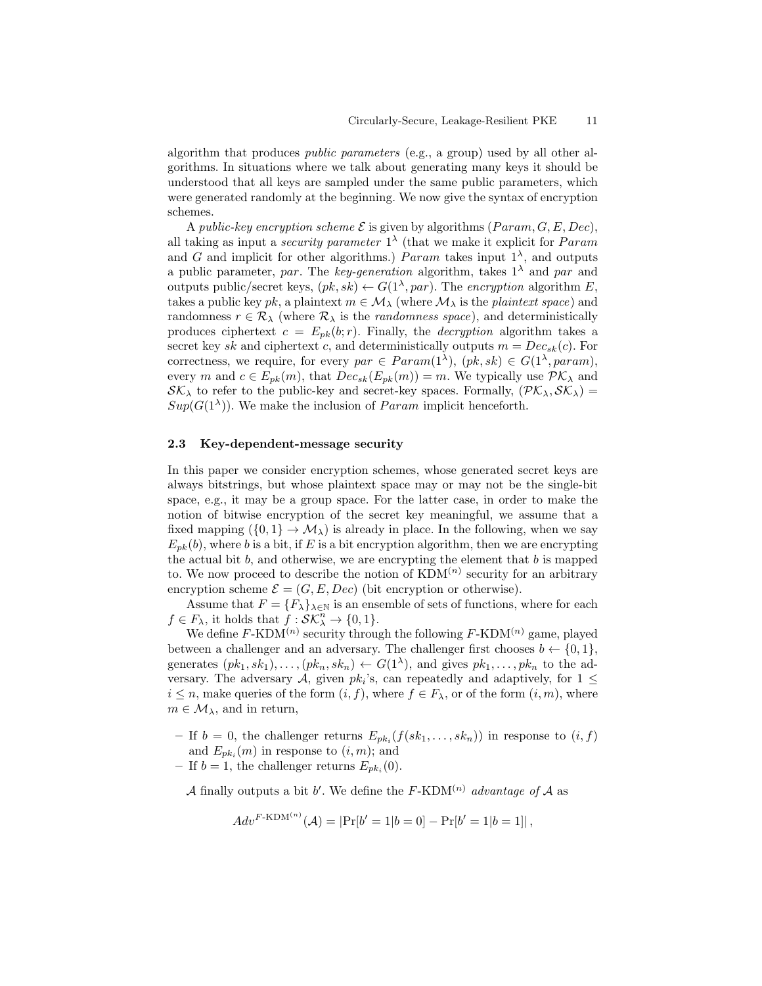algorithm that produces public parameters (e.g., a group) used by all other algorithms. In situations where we talk about generating many keys it should be understood that all keys are sampled under the same public parameters, which were generated randomly at the beginning. We now give the syntax of encryption schemes.

A public-key encryption scheme  $\mathcal E$  is given by algorithms ( $Param, G, E, Dec$ ), all taking as input a *security parameter*  $1^{\lambda}$  (that we make it explicit for *Param* and G and implicit for other algorithms.) Param takes input  $1^{\lambda}$ , and outputs a public parameter, par. The key-generation algorithm, takes  $1^{\lambda}$  and par and outputs public/secret keys,  $(pk, sk) \leftarrow G(1^{\lambda}, par)$ . The encryption algorithm E, takes a public key pk, a plaintext  $m \in \mathcal{M}_{\lambda}$  (where  $\mathcal{M}_{\lambda}$  is the plaintext space) and randomness  $r \in \mathcal{R}_{\lambda}$  (where  $\mathcal{R}_{\lambda}$  is the *randomness space*), and deterministically produces ciphertext  $c = E_{pk}(b; r)$ . Finally, the *decryption* algorithm takes a secret key sk and ciphertext c, and deterministically outputs  $m = Dec_{sk}(c)$ . For correctness, we require, for every  $par \in Param(1^{\lambda})$ ,  $(pk, sk) \in G(1^{\lambda}, param)$ , every m and  $c \in E_{pk}(m)$ , that  $Dec_{sk}(E_{pk}(m)) = m$ . We typically use  $\mathcal{PK}_\lambda$  and  $\mathcal{SK}_\lambda$  to refer to the public-key and secret-key spaces. Formally,  $(\mathcal{PK}_\lambda, \mathcal{SK}_\lambda)$  =  $Sup(G(1^{\lambda}))$ . We make the inclusion of *Param* implicit henceforth.

## 2.3 Key-dependent-message security

In this paper we consider encryption schemes, whose generated secret keys are always bitstrings, but whose plaintext space may or may not be the single-bit space, e.g., it may be a group space. For the latter case, in order to make the notion of bitwise encryption of the secret key meaningful, we assume that a fixed mapping  $(\{0,1\} \to \mathcal{M}_{\lambda})$  is already in place. In the following, when we say  $E_{nk}(b)$ , where b is a bit, if E is a bit encryption algorithm, then we are encrypting the actual bit  $b$ , and otherwise, we are encrypting the element that  $b$  is mapped to. We now proceed to describe the notion of  $KDM<sup>(n)</sup>$  security for an arbitrary encryption scheme  $\mathcal{E} = (G, E, Dec)$  (bit encryption or otherwise).

Assume that  $F = \{F_{\lambda}\}_{{\lambda \in \mathbb{N}}}$  is an ensemble of sets of functions, where for each  $f \in F_{\lambda}$ , it holds that  $\hat{f} : \mathcal{SK}_{\lambda}^{n} \to \{0, 1\}.$ 

We define  $F\text{-}\text{KDM}^{(n)}$  security through the following  $F\text{-}\text{KDM}^{(n)}$  game, played between a challenger and an adversary. The challenger first chooses  $b \leftarrow \{0, 1\}$ , generates  $(pk_1, sk_1), \ldots, (pk_n, sk_n) \leftarrow G(1^{\lambda}),$  and gives  $pk_1, \ldots, pk_n$  to the adversary. The adversary A, given  $pk_i$ 's, can repeatedly and adaptively, for  $1 \leq$  $i \leq n$ , make queries of the form  $(i, f)$ , where  $f \in F_{\lambda}$ , or of the form  $(i, m)$ , where  $m \in \mathcal{M}_{\lambda}$ , and in return,

- If  $b = 0$ , the challenger returns  $E_{pk_i}(f(sk_1, \ldots, sk_n))$  in response to  $(i, f)$ and  $E_{pk_i}(m)$  in response to  $(i, m)$ ; and
- If  $b = 1$ , the challenger returns  $E_{pk_i}(0)$ .

A finally outputs a bit b'. We define the F-KDM<sup>(n)</sup> advantage of A as

$$
Adv^{F\text{-}\mathrm{KDM}^{(n)}}(\mathcal{A}) = |\Pr[b'=1|b=0] - \Pr[b'=1|b=1]|,
$$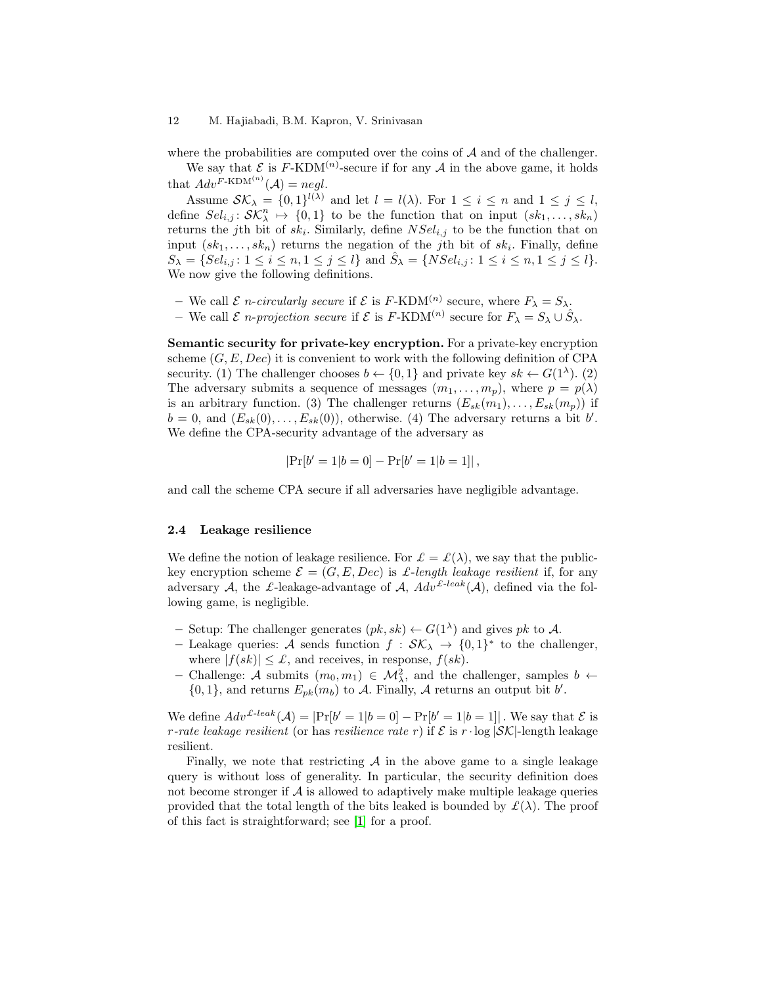where the probabilities are computed over the coins of  $A$  and of the challenger.

We say that  $\mathcal E$  is F-KDM<sup>(n)</sup>-secure if for any  $\mathcal A$  in the above game, it holds that  $Adv^{F\text{-}\text{KDM}^{(n)}}(\mathcal{A}) = negl.$ 

Assume  $\mathcal{SK}_\lambda = \{0,1\}^{l(\lambda)}$  and let  $l = l(\lambda)$ . For  $1 \leq i \leq n$  and  $1 \leq j \leq l$ , define  $Sel_{i,j} : \mathcal{SK}_{\lambda}^n \rightarrow \{0,1\}$  to be the function that on input  $(sk_1, \ldots, sk_n)$ returns the j<sup>th</sup> bit of  $sk_i$ . Similarly, define  $NSel_{i,j}$  to be the function that on input  $(sk_1, \ldots, sk_n)$  returns the negation of the *j*th bit of  $sk_i$ . Finally, define  $S_{\lambda} = \{Sel_{i,j} : 1 \le i \le n, 1 \le j \le l\}$  and  $\hat{S}_{\lambda} = \{NSel_{i,j} : 1 \le i \le n, 1 \le j \le l\}.$ We now give the following definitions.

- We call  $\mathcal E$  *n-circularly secure* if  $\mathcal E$  is  $F$ -KDM<sup>(*n*)</sup> secure, where  $F_{\lambda} = S_{\lambda}$ .
- We call  $\mathcal E$  *n*-projection secure if  $\mathcal E$  is F-KDM<sup>(n)</sup> secure for  $F_\lambda = S_\lambda \cup \hat{S}_\lambda$ .

Semantic security for private-key encryption. For a private-key encryption scheme  $(G, E, Dec)$  it is convenient to work with the following definition of CPA security. (1) The challenger chooses  $b \leftarrow \{0, 1\}$  and private key  $sk \leftarrow G(1^{\lambda})$ . (2) The adversary submits a sequence of messages  $(m_1, \ldots, m_p)$ , where  $p = p(\lambda)$ is an arbitrary function. (3) The challenger returns  $(E_{sk}(m_1), \ldots, E_{sk}(m_p))$  if  $b = 0$ , and  $(E_{sk}(0), \ldots, E_{sk}(0))$ , otherwise. (4) The adversary returns a bit b'. We define the CPA-security advantage of the adversary as

$$
|\Pr[b'=1|b=0] - \Pr[b'=1|b=1]|,
$$

and call the scheme CPA secure if all adversaries have negligible advantage.

### 2.4 Leakage resilience

We define the notion of leakage resilience. For  $\mathcal{L} = \mathcal{L}(\lambda)$ , we say that the publickey encryption scheme  $\mathcal{E} = (G, E, Dec)$  is *£*-length leakage resilient if, for any adversary A, the £-leakage-advantage of A,  $Adv^{\text{L-leak}}(\mathcal{A})$ , defined via the following game, is negligible.

- Setup: The challenger generates  $(pk, sk) \leftarrow G(1^{\lambda})$  and gives pk to A.
- Leakage queries: A sends function  $f : \mathcal{SK}_\lambda \to \{0,1\}^*$  to the challenger, where  $|f(sk)| \leq \pounds$ , and receives, in response,  $f(sk)$ .
- $-$  Challenge: *A* submits  $(m_0, m_1)$  ∈  $\mathcal{M}^2_\lambda$ , and the challenger, samples *b* ←  $\{0,1\}$ , and returns  $E_{pk}(m_b)$  to A. Finally, A returns an output bit b'.

We define  $Adv^{\mathcal{L}-leak}(\mathcal{A}) = |\Pr[b'=1|b=0] - \Pr[b'=1|b=1]|$ . We say that  $\mathcal E$  is r-rate leakage resilient (or has resilience rate r) if  $\mathcal E$  is  $r \cdot \log |\mathcal{SK}|$ -length leakage resilient.

Finally, we note that restricting  $A$  in the above game to a single leakage query is without loss of generality. In particular, the security definition does not become stronger if  $\mathcal A$  is allowed to adaptively make multiple leakage queries provided that the total length of the bits leaked is bounded by  $\mathcal{L}(\lambda)$ . The proof of this fact is straightforward; see [\[1\]](#page-27-0) for a proof.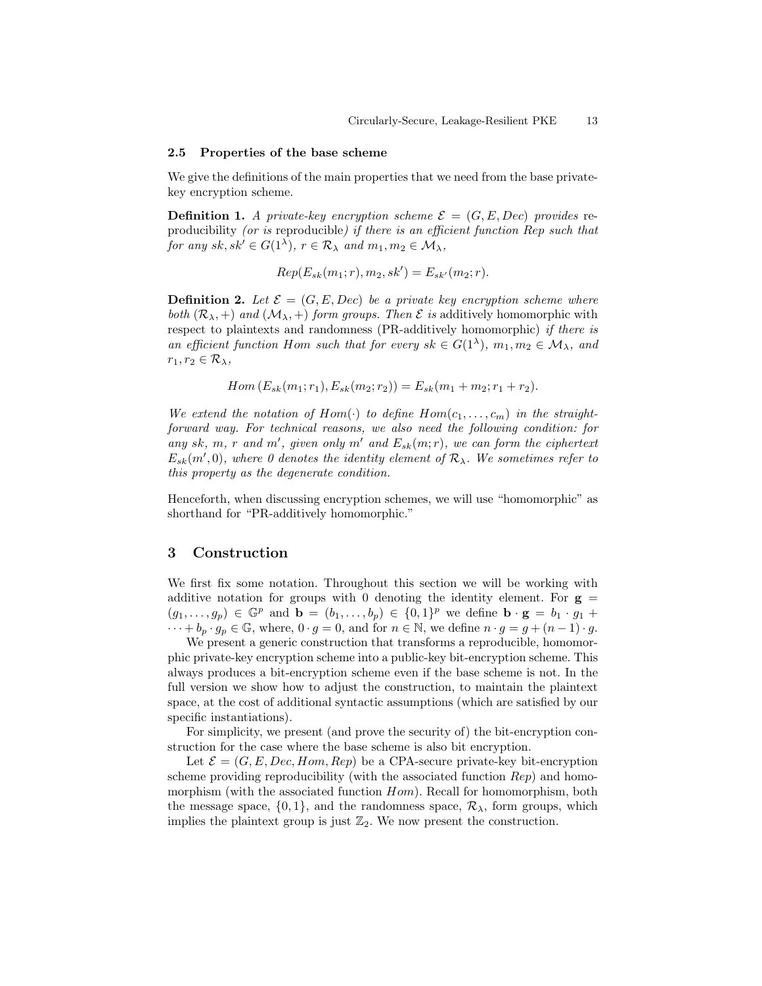### 2.5 Properties of the base scheme

We give the definitions of the main properties that we need from the base privatekey encryption scheme.

**Definition 1.** A private-key encryption scheme  $\mathcal{E} = (G, E, Dec)$  provides reproducibility (or is reproducible) if there is an efficient function Rep such that for any  $sk, sk' \in G(1^{\lambda}), r \in \mathcal{R}_{\lambda}$  and  $m_1, m_2 \in \mathcal{M}_{\lambda}$ ,

$$
Rep(E_{sk}(m_1; r), m_2, sk') = E_{sk'}(m_2; r).
$$

**Definition 2.** Let  $\mathcal{E} = (G, E, Dec)$  be a private key encryption scheme where both  $(\mathcal{R}_{\lambda}, +)$  and  $(\mathcal{M}_{\lambda}, +)$  form groups. Then  $\mathcal E$  is additively homomorphic with respect to plaintexts and randomness (PR-additively homomorphic) if there is an efficient function Hom such that for every  $sk \in G(1^{\lambda})$ ,  $m_1, m_2 \in M_{\lambda}$ , and  $r_1, r_2 \in \mathcal{R}_{\lambda},$ 

$$
Hom(E_{sk}(m_1; r_1), E_{sk}(m_2; r_2)) = E_{sk}(m_1 + m_2; r_1 + r_2).
$$

We extend the notation of  $Hom(\cdot)$  to define  $Hom(c_1, \ldots, c_m)$  in the straightforward way. For technical reasons, we also need the following condition: for any sk, m, r and m', given only m' and  $E_{sk}(m;r)$ , we can form the ciphertext  $E_{sk}(m',0)$ , where 0 denotes the identity element of  $\mathcal{R}_{\lambda}$ . We sometimes refer to this property as the degenerate condition.

Henceforth, when discussing encryption schemes, we will use "homomorphic" as shorthand for "PR-additively homomorphic."

# <span id="page-12-0"></span>3 Construction

We first fix some notation. Throughout this section we will be working with additive notation for groups with 0 denoting the identity element. For  $g =$  $(g_1,\ldots,g_p) \in \mathbb{G}^p$  and  $\mathbf{b}=(b_1,\ldots,b_p) \in \{0,1\}^p$  we define  $\mathbf{b} \cdot \mathbf{g}=b_1 \cdot g_1 +$  $\cdots + b_p \cdot g_p \in \mathbb{G}$ , where,  $0 \cdot g = 0$ , and for  $n \in \mathbb{N}$ , we define  $n \cdot g = g + (n-1) \cdot g$ .

We present a generic construction that transforms a reproducible, homomorphic private-key encryption scheme into a public-key bit-encryption scheme. This always produces a bit-encryption scheme even if the base scheme is not. In the full version we show how to adjust the construction, to maintain the plaintext space, at the cost of additional syntactic assumptions (which are satisfied by our specific instantiations).

For simplicity, we present (and prove the security of) the bit-encryption construction for the case where the base scheme is also bit encryption.

<span id="page-12-1"></span>Let  $\mathcal{E} = (G, E, Dec, Hom, Rep)$  be a CPA-secure private-key bit-encryption scheme providing reproducibility (with the associated function Rep) and homomorphism (with the associated function  $Hom$ ). Recall for homomorphism, both the message space,  $\{0,1\}$ , and the randomness space,  $\mathcal{R}_{\lambda}$ , form groups, which implies the plaintext group is just  $\mathbb{Z}_2$ . We now present the construction.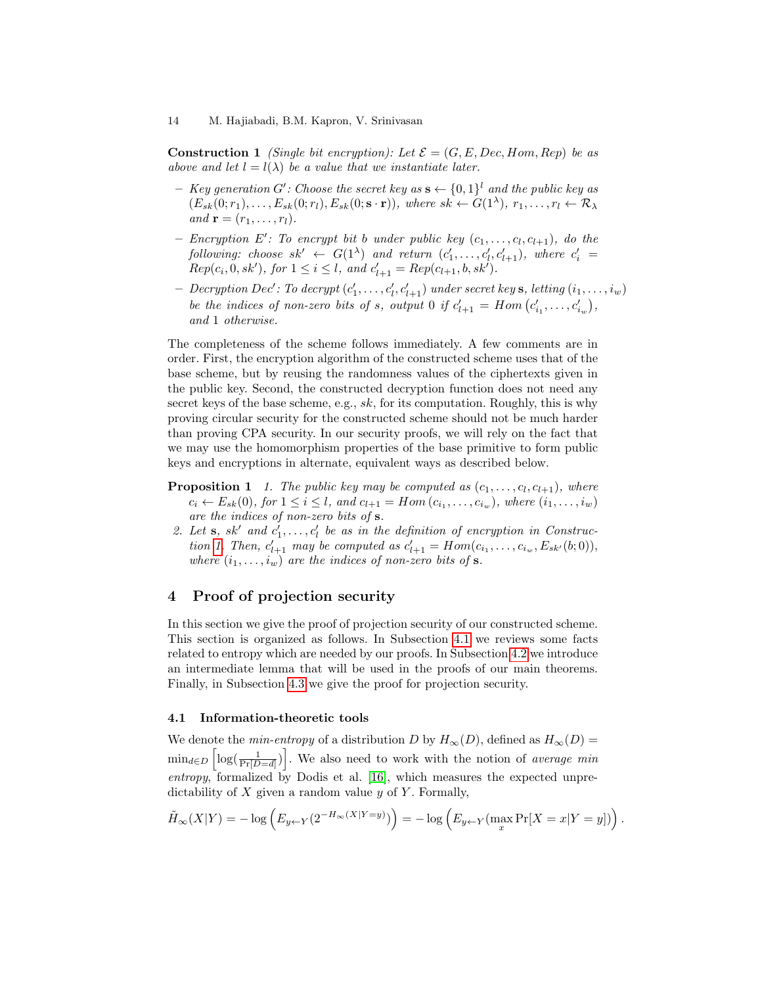**Construction 1** (Single bit encryption): Let  $\mathcal{E} = (G, E, Dec, Hom, Rep)$  be as above and let  $l = l(\lambda)$  be a value that we instantiate later.

- Key generation G': Choose the secret key as  $\mathbf{s} \leftarrow \{0,1\}^l$  and the public key as  $(E_{sk}(0; r_1), \ldots, E_{sk}(0; r_l), E_{sk}(0; \mathbf{s} \cdot \mathbf{r}))$ , where  $sk \leftarrow G(1^{\lambda}), r_1, \ldots, r_l \leftarrow \mathcal{R}_{\lambda}$ and  $\mathbf{r} = (r_1, \ldots, r_l)$ .
- Encryption E': To encrypt bit b under public key  $(c_1, \ldots, c_l, c_{l+1})$ , do the following: choose  $sk' \leftarrow G(1^{\lambda})$  and return  $(c'_1, \ldots, c'_l, c'_{l+1})$ , where  $c'_i$  $Rep(c_i, 0, sk'), \text{ for } 1 \leq i \leq l, \text{ and } c'_{l+1} = Rep(c_{l+1}, b, sk').$
- $-$  Decryption Dec': To decrypt  $(c'_1, \ldots, c'_l, c'_{l+1})$  under secret key **s**, letting  $(i_1, \ldots, i_w)$ be the indices of non-zero bits of s, output 0 if  $c'_{l+1} = Hom(c'_{i_1}, \ldots, c'_{i_w}),$ and 1 otherwise.

The completeness of the scheme follows immediately. A few comments are in order. First, the encryption algorithm of the constructed scheme uses that of the base scheme, but by reusing the randomness values of the ciphertexts given in the public key. Second, the constructed decryption function does not need any secret keys of the base scheme, e.g.,  $sk$ , for its computation. Roughly, this is why proving circular security for the constructed scheme should not be much harder than proving CPA security. In our security proofs, we will rely on the fact that we may use the homomorphism properties of the base primitive to form public keys and encryptions in alternate, equivalent ways as described below.

- <span id="page-13-1"></span>**Proposition 1** 1. The public key may be computed as  $(c_1, \ldots, c_l, c_{l+1})$ , where  $c_i \leftarrow E_{sk}(0)$ , for  $1 \le i \le l$ , and  $c_{l+1} = Hom(c_{i_1}, \ldots, c_{i_w})$ , where  $(i_1, \ldots, i_w)$ are the indices of non-zero bits of s.
- 2. Let **s**, sk' and  $c'_1, \ldots, c'_l$  be as in the definition of encryption in Construc-tion [1.](#page-12-1) Then,  $c'_{l+1}$  may be computed as  $c'_{l+1} = Hom(c_{i_1}, \ldots, c_{i_w}, E_{sk'}(b; 0)),$ where  $(i_1, \ldots, i_w)$  are the indices of non-zero bits of s.

# 4 Proof of projection security

In this section we give the proof of projection security of our constructed scheme. This section is organized as follows. In Subsection [4.1](#page-13-0) we reviews some facts related to entropy which are needed by our proofs. In Subsection [4.2](#page-14-0) we introduce an intermediate lemma that will be used in the proofs of our main theorems. Finally, in Subsection [4.3](#page-15-1) we give the proof for projection security.

# <span id="page-13-0"></span>4.1 Information-theoretic tools

We denote the *min-entropy* of a distribution D by  $H_{\infty}(D)$ , defined as  $H_{\infty}(D)$  =  $\min_{d \in D} \left[ \log \left( \frac{1}{\Pr[D=d]} \right) \right]$ . We also need to work with the notion of *average min* entropy, formalized by Dodis et al. [\[16\]](#page-28-14), which measures the expected unpredictability of  $X$  given a random value  $y$  of  $Y$ . Formally,

$$
\tilde{H}_{\infty}(X|Y) = -\log\left(E_{y \leftarrow Y}(2^{-H_{\infty}(X|Y=y)})\right) = -\log\left(E_{y \leftarrow Y}(\max_{x} \Pr[X=x|Y=y])\right).
$$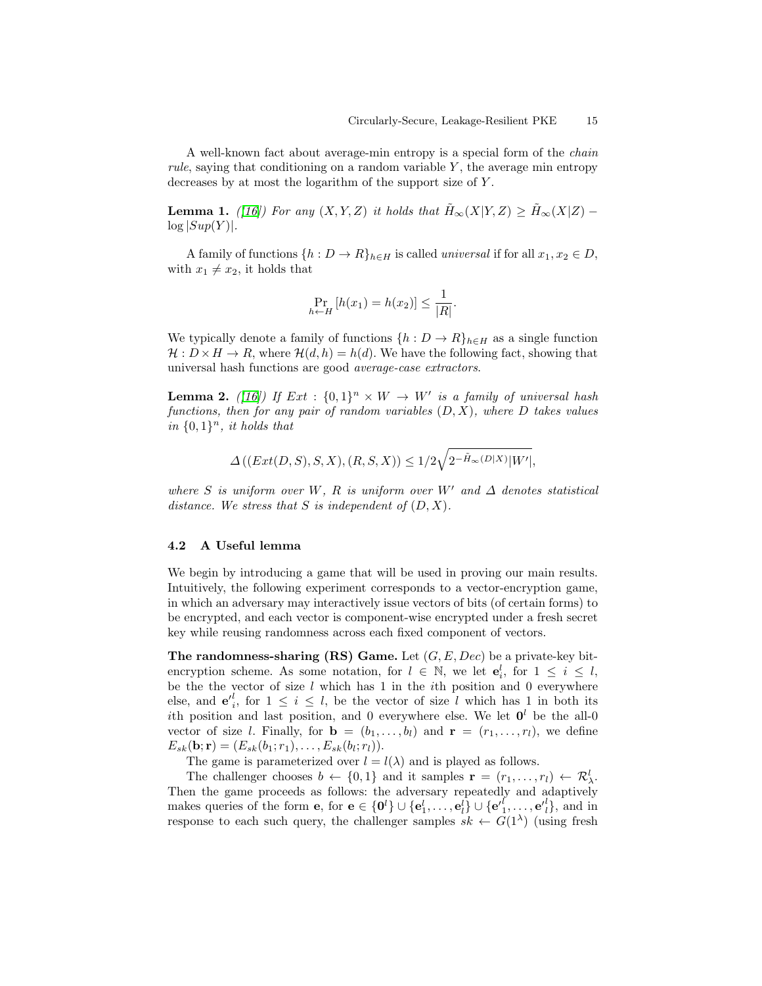A well-known fact about average-min entropy is a special form of the chain rule, saying that conditioning on a random variable  $Y$ , the average min entropy decreases by at most the logarithm of the support size of Y.

**Lemma 1.** ([\[16\]](#page-28-14)) For any  $(X, Y, Z)$  it holds that  $\tilde{H}_{\infty}(X|Y, Z) \geq \tilde{H}_{\infty}(X|Z)$  –  $\log |Sup(Y)|$ .

A family of functions  $\{h : D \to R\}_{h \in H}$  is called *universal* if for all  $x_1, x_2 \in D$ , with  $x_1 \neq x_2$ , it holds that

$$
\Pr_{h \leftarrow H} [h(x_1) = h(x_2)] \le \frac{1}{|R|}.
$$

We typically denote a family of functions  $\{h: D \to R\}_{h \in H}$  as a single function  $\mathcal{H}: D \times H \to R$ , where  $\mathcal{H}(d, h) = h(d)$ . We have the following fact, showing that universal hash functions are good average-case extractors.

<span id="page-14-1"></span>**Lemma 2.** ([\[16\]](#page-28-14)) If  $Ext : \{0,1\}^n \times W \rightarrow W'$  is a family of universal hash functions, then for any pair of random variables  $(D, X)$ , where D takes values in  $\{0,1\}^n$ , it holds that

$$
\Delta\left((Ext(D,S),S,X),(R,S,X)\right)\leq 1/2\sqrt{2^{-\tilde{H}_\infty(D|X)}|W'|},
$$

where S is uniform over W, R is uniform over W' and  $\Delta$  denotes statistical distance. We stress that S is independent of  $(D, X)$ .

### <span id="page-14-0"></span>4.2 A Useful lemma

We begin by introducing a game that will be used in proving our main results. Intuitively, the following experiment corresponds to a vector-encryption game, in which an adversary may interactively issue vectors of bits (of certain forms) to be encrypted, and each vector is component-wise encrypted under a fresh secret key while reusing randomness across each fixed component of vectors.

The randomness-sharing  $(RS)$  Game. Let  $(G, E, Dec)$  be a private-key bitencryption scheme. As some notation, for  $l \in \mathbb{N}$ , we let  $e_i^l$ , for  $1 \leq i \leq l$ , be the the vector of size  $l$  which has 1 in the *i*th position and 0 everywhere else, and  $e'_{i}$ , for  $1 \leq i \leq l$ , be the vector of size l which has 1 in both its ith position and last position, and 0 everywhere else. We let  $\mathbf{0}^l$  be the all-0 vector of size l. Finally, for  $\mathbf{b} = (b_1, \ldots, b_l)$  and  $\mathbf{r} = (r_1, \ldots, r_l)$ , we define  $E_{sk}(\mathbf{b}; \mathbf{r}) = (E_{sk}(b_1; r_1), \dots, E_{sk}(b_l; r_l)).$ 

The game is parameterized over  $l = l(\lambda)$  and is played as follows.

The challenger chooses  $b \leftarrow \{0,1\}$  and it samples  $\mathbf{r} = (r_1, \ldots, r_l) \leftarrow \mathcal{R}_{\lambda}^l$ . Then the game proceeds as follows: the adversary repeatedly and adaptively makes queries of the form **e**, for **e**  $\in \{0^l\} \cup \{e_1^l, \ldots, e_l^l\} \cup \{e_1^l^l, \ldots, e_l^l\}$ , and in response to each such query, the challenger samples  $sk \leftarrow G(1^{\lambda})$  (using fresh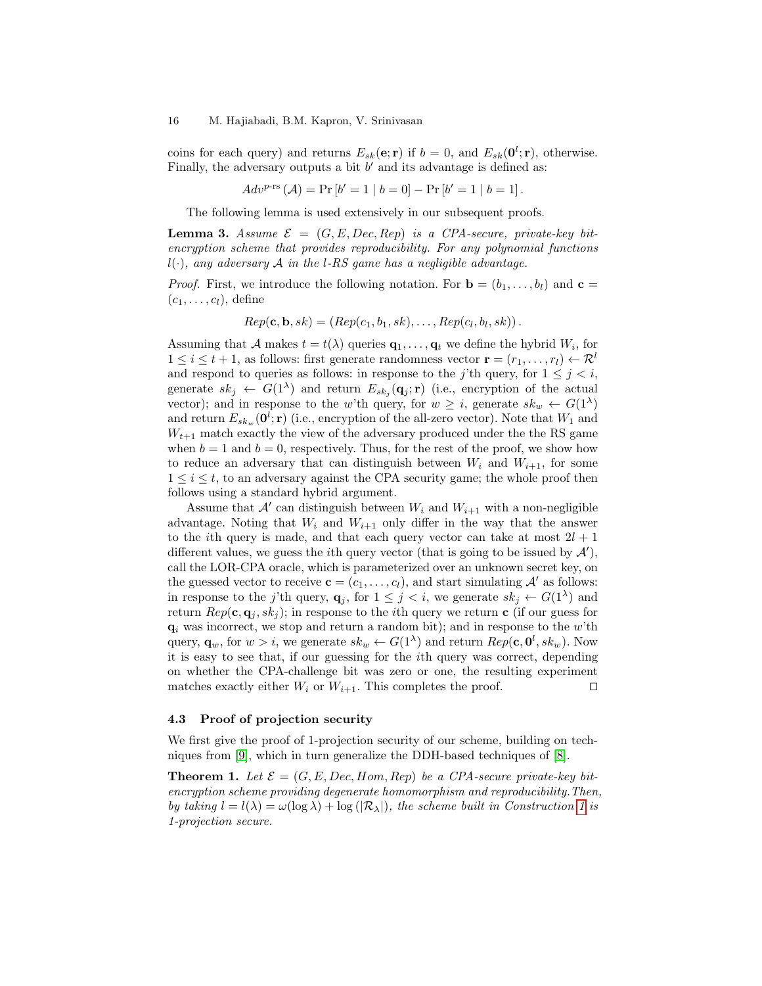coins for each query) and returns  $E_{sk}(\mathbf{e}; \mathbf{r})$  if  $b = 0$ , and  $E_{sk}(\mathbf{0}^l; \mathbf{r})$ , otherwise. Finally, the adversary outputs a bit  $b'$  and its advantage is defined as:

$$
Adv^{p\text{-rs}}(\mathcal{A}) = \Pr\left[b' = 1 \mid b = 0\right] - \Pr\left[b' = 1 \mid b = 1\right].
$$

The following lemma is used extensively in our subsequent proofs.

<span id="page-15-0"></span>**Lemma 3.** Assume  $\mathcal{E} = (G, E, Dec, Rep)$  is a CPA-secure, private-key bitencryption scheme that provides reproducibility. For any polynomial functions  $l(\cdot)$ , any adversary A in the l-RS game has a negligible advantage.

*Proof.* First, we introduce the following notation. For  $\mathbf{b} = (b_1, \ldots, b_l)$  and  $\mathbf{c} =$  $(c_1, \ldots, c_l)$ , define

$$
Rep(\mathbf{c}, \mathbf{b}, sk) = (Rep(c_1, b_1, sk), \dots, Rep(c_l, b_l, sk)).
$$

Assuming that A makes  $t = t(\lambda)$  queries  $\mathbf{q}_1, \dots, \mathbf{q}_t$  we define the hybrid  $W_i$ , for  $1 \leq i \leq t+1$ , as follows: first generate randomness vector  $\mathbf{r} = (r_1, \ldots, r_l) \leftarrow \mathcal{R}^l$ and respond to queries as follows: in response to the j'th query, for  $1 \leq j \leq i$ , generate  $sk_j \leftarrow G(1^{\lambda})$  and return  $E_{sk_j}(\mathbf{q}_j; \mathbf{r})$  (i.e., encryption of the actual vector); and in response to the w'th query, for  $w \geq i$ , generate  $sk_w \leftarrow G(1^{\lambda})$ and return  $E_{sk_w}(\mathbf{0}^l; \mathbf{r})$  (i.e., encryption of the all-zero vector). Note that  $W_1$  and  $W_{t+1}$  match exactly the view of the adversary produced under the the RS game when  $b = 1$  and  $b = 0$ , respectively. Thus, for the rest of the proof, we show how to reduce an adversary that can distinguish between  $W_i$  and  $W_{i+1}$ , for some  $1 \leq i \leq t$ , to an adversary against the CPA security game; the whole proof then follows using a standard hybrid argument.

Assume that  $\mathcal{A}'$  can distinguish between  $W_i$  and  $W_{i+1}$  with a non-negligible advantage. Noting that  $W_i$  and  $W_{i+1}$  only differ in the way that the answer to the *i*th query is made, and that each query vector can take at most  $2l + 1$ different values, we guess the *i*th query vector (that is going to be issued by  $\mathcal{A}'$ ), call the LOR-CPA oracle, which is parameterized over an unknown secret key, on the guessed vector to receive  $\mathbf{c} = (c_1, \ldots, c_l)$ , and start simulating  $\mathcal{A}'$  as follows: in response to the j'th query,  $\mathbf{q}_j$ , for  $1 \leq j \leq i$ , we generate  $sk_j \leftarrow G(1^{\lambda})$  and return  $Rep(c, q<sub>i</sub>, sk<sub>i</sub>)$ ; in response to the *i*th query we return c (if our guess for  $q_i$  was incorrect, we stop and return a random bit); and in response to the w'th query,  $\mathbf{q}_w$ , for  $w > i$ , we generate  $sk_w \leftarrow G(1^{\lambda})$  and return  $Rep(\mathbf{c}, \mathbf{0}^l, sk_w)$ . Now it is easy to see that, if our guessing for the ith query was correct, depending on whether the CPA-challenge bit was zero or one, the resulting experiment matches exactly either  $W_i$  or  $W_{i+1}$ . This completes the proof.

#### <span id="page-15-1"></span>4.3 Proof of projection security

We first give the proof of 1-projection security of our scheme, building on techniques from [\[9\]](#page-28-5), which in turn generalize the DDH-based techniques of [\[8\]](#page-28-7).

**Theorem 1.** Let  $\mathcal{E} = (G, E, Dec, Hom, Rep)$  be a CPA-secure private-key bitencryption scheme providing degenerate homomorphism and reproducibility.Then, by taking  $l = l(\lambda) = \omega(\log \lambda) + \log(|\mathcal{R}_{\lambda}|)$ , the scheme built in Construction [1](#page-12-1) is 1-projection secure.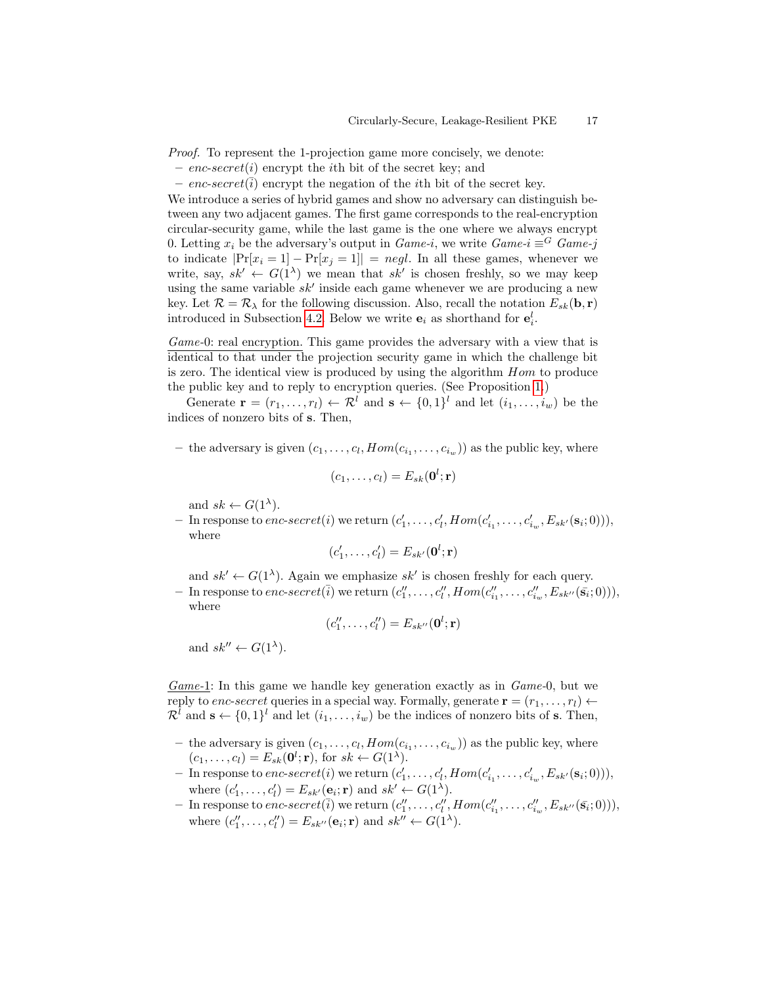Proof. To represent the 1-projection game more concisely, we denote:

- $\mathit{enc}\text{-}secret(i)$  encrypt the *i*th bit of the secret key; and
- enc-secret( $\overline{i}$ ) encrypt the negation of the *i*th bit of the secret key.

We introduce a series of hybrid games and show no adversary can distinguish between any two adjacent games. The first game corresponds to the real-encryption circular-security game, while the last game is the one where we always encrypt 0. Letting  $x_i$  be the adversary's output in  $Game-i$ , we write  $Game-i \equiv G \text{ Game}-j$ to indicate  $|\Pr[x_i = 1] - \Pr[x_i = 1]| = negl$ . In all these games, whenever we write, say,  $sk' \leftarrow G(1^{\lambda})$  we mean that  $sk'$  is chosen freshly, so we may keep using the same variable  $sk'$  inside each game whenever we are producing a new key. Let  $\mathcal{R} = \mathcal{R}_{\lambda}$  for the following discussion. Also, recall the notation  $E_{sk}(\mathbf{b}, \mathbf{r})$ introduced in Subsection [4.2.](#page-14-0) Below we write  $e_i$  as shorthand for  $e_i^l$ .

Game-0: real encryption. This game provides the adversary with a view that is identical to that under the projection security game in which the challenge bit is zero. The identical view is produced by using the algorithm Hom to produce the public key and to reply to encryption queries. (See Proposition [1.](#page-13-1))

Generate  $\mathbf{r} = (r_1, \ldots, r_l) \leftarrow \mathcal{R}^l$  and  $\mathbf{s} \leftarrow \{0, 1\}^l$  and let  $(i_1, \ldots, i_w)$  be the indices of nonzero bits of s. Then,

- the adversary is given  $(c_1, \ldots, c_l, Hom(c_{i_1}, \ldots, c_{i_w}))$  as the public key, where

$$
(c_1,\ldots,c_l)=E_{sk}(\mathbf{0}^l;\mathbf{r})
$$

and  $sk \leftarrow G(1^{\lambda})$ .

- In response to  $\mathit{enc}\text{-}secret(i)$  we return  $(c'_1,\ldots,c'_l,Hom(c'_{i_1},\ldots,c'_{i_w},E_{sk'}(\mathbf{s}_i;0))),$ where

$$
(c'_1,\ldots,c'_l)=E_{sk'}(\mathbf{0}^l;\mathbf{r})
$$

and  $sk' \leftarrow G(1^{\lambda})$ . Again we emphasize  $sk'$  is chosen freshly for each query. - In response to enc-secret( $\overline{i}$ ) we return  $(c''_1, \ldots, c''_l, Hom(c''_{i_1}, \ldots, c''_{i_w}, E_{sk''}(\overline{s_i}; 0))),$ where

$$
(c''_1,\ldots,c''_l)=E_{sk''}(\mathbf{0}^l;\mathbf{r})
$$

and  $sk'' \leftarrow G(1^{\lambda})$ .

Game-1: In this game we handle key generation exactly as in Game-0, but we reply to enc-secret queries in a special way. Formally, generate  $\mathbf{r} = (r_1, \ldots, r_l) \leftarrow$  $\mathcal{R}^l$  and  $\mathbf{s} \leftarrow \{0,1\}^l$  and let  $(i_1,\ldots,i_w)$  be the indices of nonzero bits of **s**. Then,

- the adversary is given  $(c_1, \ldots, c_l, Hom(c_{i_1}, \ldots, c_{i_w}))$  as the public key, where  $(c_1, \ldots, c_l) = E_{sk}(\mathbf{0}^l; \mathbf{r}),$  for  $sk \leftarrow G(1^{\lambda}).$
- In response to  $\mathit{enc}\text{-}secret(i)$  we return  $(c'_1,\ldots,c'_l,Hom(c'_{i_1},\ldots,c'_{i_w},E_{sk'}(\mathbf{s}_i;0))),$ where  $(c'_1, \ldots, c'_l) = E_{sk'}(e_i; \mathbf{r})$  and  $sk' \leftarrow G(1^{\lambda})$ .
- In response to enc-secret( $\overline{i}$ ) we return  $(c''_1, \ldots, c''_l, Hom(c''_{i_1}, \ldots, c''_{i_w}, E_{sk''}(\bar{s_i}; 0))),$ where  $(c''_1, \ldots, c''_l) = E_{sk''}(\mathbf{e}_i; \mathbf{r})$  and  $sk'' \leftarrow G(1^{\lambda})$ .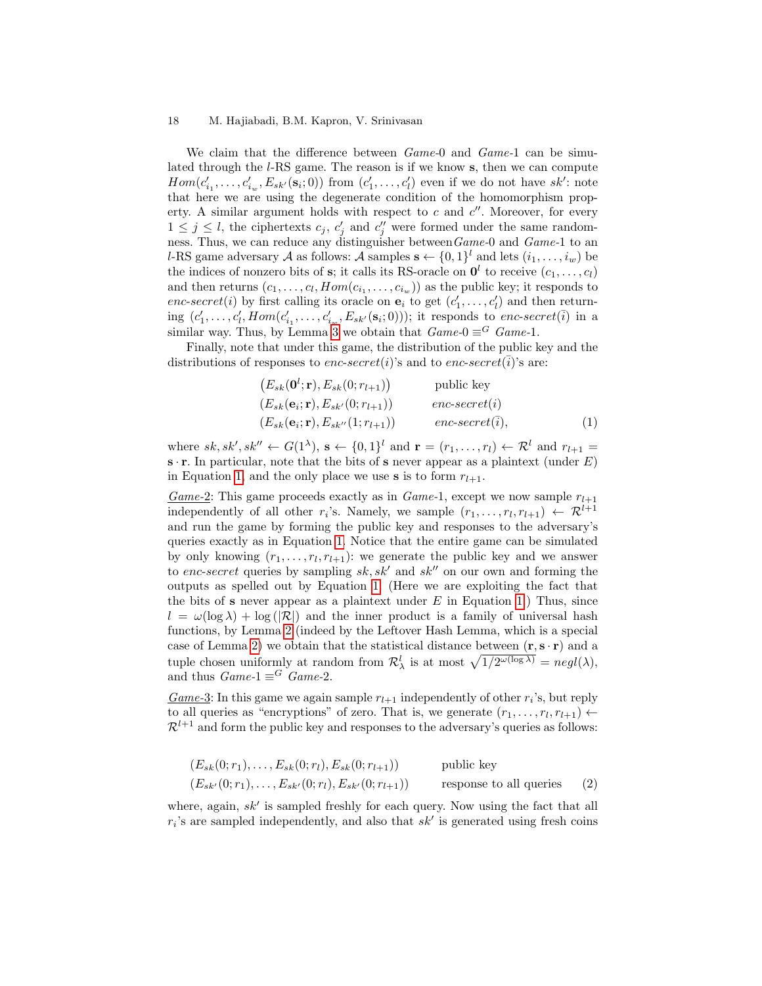We claim that the difference between *Game-*0 and *Game-*1 can be simulated through the l-RS game. The reason is if we know s, then we can compute  $Hom(c'_{i_1}, \ldots, c'_{i_w}, E_{sk'}(\mathbf{s}_i; 0))$  from  $(c'_1, \ldots, c'_l)$  even if we do not have  $sk'$ : note that here we are using the degenerate condition of the homomorphism property. A similar argument holds with respect to  $c$  and  $c''$ . Moreover, for every  $1 \leq j \leq l$ , the ciphertexts  $c_j$ ,  $c'_j$  and  $c''_j$  were formed under the same randomness. Thus, we can reduce any distinguisher between Game-0 and Game-1 to an l-RS game adversary A as follows: A samples  $\mathbf{s} \leftarrow \{0, 1\}^l$  and lets  $(i_1, \ldots, i_w)$  be the indices of nonzero bits of **s**; it calls its RS-oracle on  $\mathbf{0}^l$  to receive  $(c_1, \ldots, c_l)$ and then returns  $(c_1, \ldots, c_l, Hom(c_{i_1}, \ldots, c_{i_w}))$  as the public key; it responds to enc-secret(i) by first calling its oracle on  $e_i$  to get  $(c'_1, \ldots, c'_l)$  and then returning  $(c'_1, \ldots, c'_l, Hom(c'_{i_1}, \ldots, c'_{i_w}, E_{sk'}(s_i; 0)))$ ; it responds to enc-secret( $\overline{i}$ ) in a similar way. Thus, by Lemma [3](#page-15-0) we obtain that  $Game_0 \equiv^G Game_1$ .

Finally, note that under this game, the distribution of the public key and the distributions of responses to *enc-secret(i)*'s and to *enc-secret(i)*'s are:

<span id="page-17-0"></span>
$$
(E_{sk}(\mathbf{0}^l; \mathbf{r}), E_{sk}(0; r_{l+1})) \qquad \text{public key}
$$
  
\n
$$
(E_{sk}(\mathbf{e}_i; \mathbf{r}), E_{sk'}(0; r_{l+1})) \qquad \text{enc-secret}(i)
$$
  
\n
$$
(E_{sk}(\mathbf{e}_i; \mathbf{r}), E_{sk''}(1; r_{l+1})) \qquad \text{enc-secret}(\bar{i}),
$$
  
\n(1)

where  $sk, sk', sk'' \leftarrow G(1^{\lambda}), s \leftarrow \{0,1\}^l$  and  $\mathbf{r} = (r_1, \ldots, r_l) \leftarrow \mathcal{R}^l$  and  $r_{l+1} =$  $\mathbf{s} \cdot \mathbf{r}$ . In particular, note that the bits of **s** never appear as a plaintext (under E) in Equation [1,](#page-17-0) and the only place we use **s** is to form  $r_{l+1}$ .

*Game-2*: This game proceeds exactly as in *Game-1*, except we now sample  $r_{l+1}$ independently of all other  $r_i$ 's. Namely, we sample  $(r_1, \ldots, r_l, r_{l+1}) \leftarrow \mathcal{R}^{l+1}$ and run the game by forming the public key and responses to the adversary's queries exactly as in Equation [1.](#page-17-0) Notice that the entire game can be simulated by only knowing  $(r_1, \ldots, r_l, r_{l+1})$ : we generate the public key and we answer to enc-secret queries by sampling sk, sk<sup> $\prime$ </sup> and sk<sup> $\prime\prime$ </sup> on our own and forming the outputs as spelled out by Equation [1.](#page-17-0) (Here we are exploiting the fact that the bits of s never appear as a plaintext under  $E$  in Equation [1.](#page-17-0)) Thus, since  $l = \omega(\log \lambda) + \log(|\mathcal{R}|)$  and the inner product is a family of universal hash functions, by Lemma [2](#page-14-1) (indeed by the Leftover Hash Lemma, which is a special case of Lemma [2\)](#page-14-1) we obtain that the statistical distance between  $(\mathbf{r}, \mathbf{s} \cdot \mathbf{r})$  and a tuple chosen uniformly at random from  $\mathcal{R}^l_\lambda$  is at most  $\sqrt{1/2^{\omega(\log \lambda)}} = negl(\lambda)$ , and thus  $Game-1 \equiv G \text{ } Game-2$ .

*Game-3*: In this game we again sample  $r_{l+1}$  independently of other  $r_i$ 's, but reply to all queries as "encryptions" of zero. That is, we generate  $(r_1, \ldots, r_l, r_{l+1}) \leftarrow$  $\mathcal{R}^{l+1}$  and form the public key and responses to the adversary's queries as follows:

$$
(E_{sk}(0; r_1),..., E_{sk}(0; r_l), E_{sk}(0; r_{l+1}))
$$
 public key  
\n $(E_{sk'}(0; r_1),..., E_{sk'}(0; r_l), E_{sk'}(0; r_{l+1}))$  response to all queries (2)

where, again,  $sk'$  is sampled freshly for each query. Now using the fact that all  $r_i$ 's are sampled independently, and also that  $sk'$  is generated using fresh coins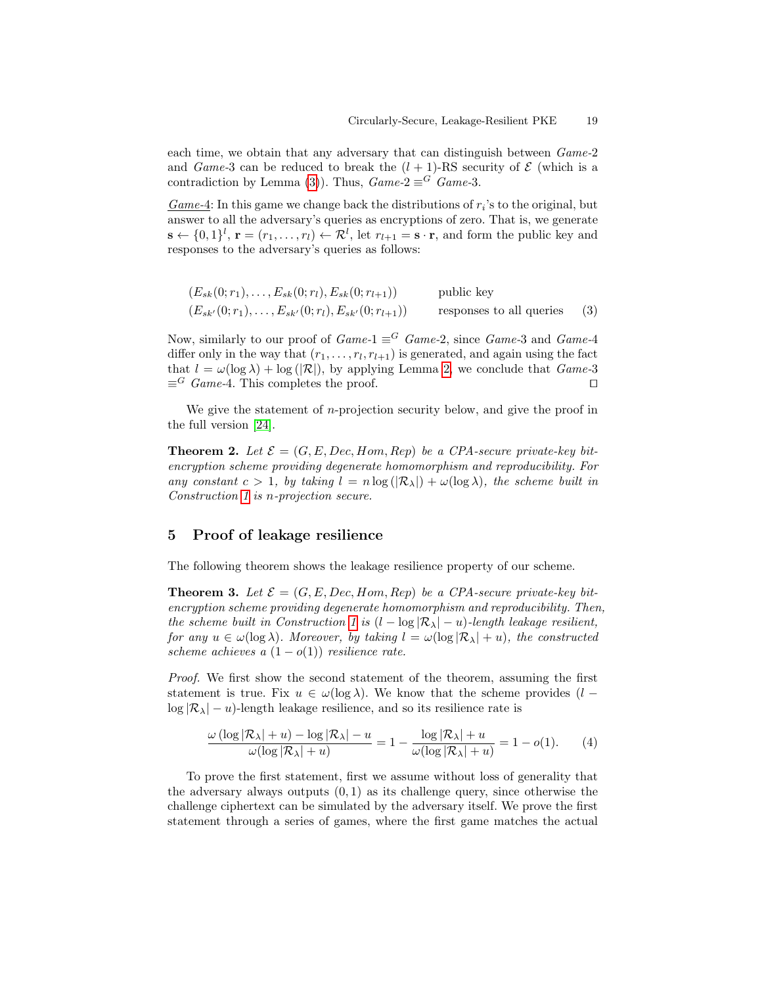each time, we obtain that any adversary that can distinguish between Game-2 and Game-3 can be reduced to break the  $(l + 1)$ -RS security of  $\mathcal E$  (which is a contradiction by Lemma [\(3\)](#page-15-0)). Thus,  $Game2 \equiv G \text{ Game-3}.$ 

 $Game-4$ : In this game we change back the distributions of  $r_i$ 's to the original, but answer to all the adversary's queries as encryptions of zero. That is, we generate  $\mathbf{s} \leftarrow \{0,1\}^l$ ,  $\mathbf{r} = (r_1, \ldots, r_l) \leftarrow \mathcal{R}^l$ , let  $r_{l+1} = \mathbf{s} \cdot \mathbf{r}$ , and form the public key and responses to the adversary's queries as follows:

| $(E_{sk}(0; r_1), \ldots, E_{sk}(0; r_l), E_{sk}(0; r_{l+1}))$    | public key               |     |
|-------------------------------------------------------------------|--------------------------|-----|
| $(E_{sk'}(0; r_1), \ldots, E_{sk'}(0; r_l), E_{sk'}(0; r_{l+1}))$ | responses to all queries | (3) |

Now, similarly to our proof of  $Game-1 \equiv G \; Game-2$ , since  $Game-3$  and  $Game-4$ differ only in the way that  $(r_1, \ldots, r_l, r_{l+1})$  is generated, and again using the fact that  $l = \omega(\log \lambda) + \log(|\mathcal{R}|)$ , by applying Lemma [2,](#page-14-1) we conclude that  $Game-3$  $\equiv^G$  Game-4. This completes the proof.

We give the statement of  $n$ -projection security below, and give the proof in the full version [\[24\]](#page-29-16).

<span id="page-18-0"></span>**Theorem 2.** Let  $\mathcal{E} = (G, E, Dec, Hom, Rep)$  be a CPA-secure private-key bitencryption scheme providing degenerate homomorphism and reproducibility. For any constant  $c > 1$ , by taking  $l = n \log(|\mathcal{R}_{\lambda}|) + \omega(\log \lambda)$ , the scheme built in Construction [1](#page-12-1) is n-projection secure.

# 5 Proof of leakage resilience

<span id="page-18-1"></span>The following theorem shows the leakage resilience property of our scheme.

**Theorem 3.** Let  $\mathcal{E} = (G, E, Dec, Hom, Rep)$  be a CPA-secure private-key bitencryption scheme providing degenerate homomorphism and reproducibility. Then, the scheme built in Construction [1](#page-12-1) is  $(l - \log |\mathcal{R}_{\lambda}| - u)$ -length leakage resilient, for any  $u \in \omega(\log \lambda)$ . Moreover, by taking  $l = \omega(\log |\mathcal{R}_{\lambda}| + u)$ , the constructed scheme achieves a  $(1-o(1))$  resilience rate.

Proof. We first show the second statement of the theorem, assuming the first statement is true. Fix  $u \in \omega(\log \lambda)$ . We know that the scheme provides  $(l \log |\mathcal{R}_{\lambda}| - u$ )-length leakage resilience, and so its resilience rate is

$$
\frac{\omega(\log |\mathcal{R}_{\lambda}|+u) - \log |\mathcal{R}_{\lambda}| - u}{\omega(\log |\mathcal{R}_{\lambda}|+u)} = 1 - \frac{\log |\mathcal{R}_{\lambda}| + u}{\omega(\log |\mathcal{R}_{\lambda}|+u)} = 1 - o(1). \tag{4}
$$

To prove the first statement, first we assume without loss of generality that the adversary always outputs  $(0, 1)$  as its challenge query, since otherwise the challenge ciphertext can be simulated by the adversary itself. We prove the first statement through a series of games, where the first game matches the actual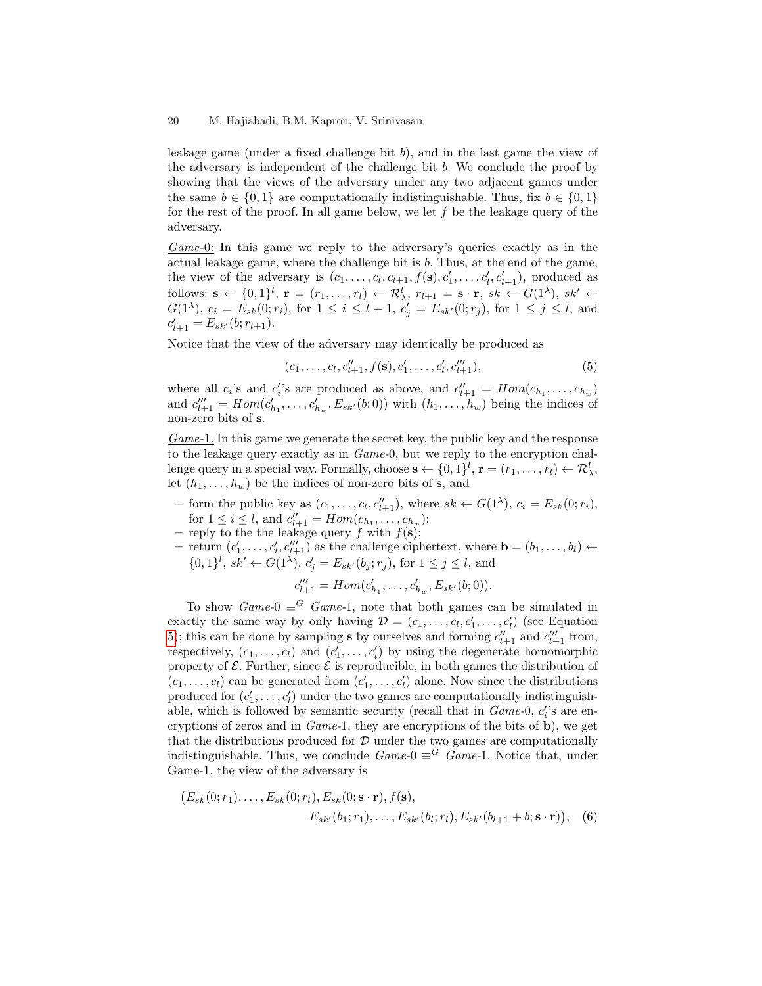leakage game (under a fixed challenge bit  $b$ ), and in the last game the view of the adversary is independent of the challenge bit  $b$ . We conclude the proof by showing that the views of the adversary under any two adjacent games under the same  $b \in \{0,1\}$  are computationally indistinguishable. Thus, fix  $b \in \{0,1\}$ for the rest of the proof. In all game below, we let  $f$  be the leakage query of the adversary.

Game-0: In this game we reply to the adversary's queries exactly as in the actual leakage game, where the challenge bit is b. Thus, at the end of the game, the view of the adversary is  $(c_1, \ldots, c_l, c_{l+1}, f(\mathbf{s}), c'_1, \ldots, c'_l, c'_{l+1})$ , produced as follows:  $\mathbf{s} \leftarrow \{0,1\}^l$ ,  $\mathbf{r} = (r_1,\ldots,r_l) \leftarrow \mathcal{R}_{\lambda}^l$ ,  $r_{l+1} = \mathbf{s} \cdot \mathbf{r}$ ,  $sk \leftarrow G(1^{\lambda})$ ,  $sk' \leftarrow$  $G(1^{\lambda}), c_i = E_{sk}(0; r_i),$  for  $1 \leq i \leq l+1, c'_{j} = E_{sk'}(0; r_j),$  for  $1 \leq j \leq l$ , and  $c'_{l+1} = E_{sk'}(b; r_{l+1}).$ 

Notice that the view of the adversary may identically be produced as

<span id="page-19-0"></span>
$$
(c_1, \ldots, c_l, c''_{l+1}, f(\mathbf{s}), c'_1, \ldots, c'_l, c'''_{l+1}),
$$
\n<sup>(5)</sup>

where all  $c_i$ 's and  $c'_i$ 's are produced as above, and  $c''_{l+1} = Hom(c_{h_1}, \ldots, c_{h_w})$ and  $c''_{l+1} = Hom(c'_{h_1}, \ldots, c'_{h_w}, E_{sk'}(b; 0))$  with  $(h_1, \ldots, h_w)$  being the indices of non-zero bits of s.

Game-1. In this game we generate the secret key, the public key and the response to the leakage query exactly as in Game-0, but we reply to the encryption challenge query in a special way. Formally, choose  $\mathbf{s} \leftarrow \{0, 1\}^l$ ,  $\mathbf{r} = (r_1, \dots, r_l) \leftarrow \mathcal{R}^l_{\lambda}$ , let  $(h_1, \ldots, h_w)$  be the indices of non-zero bits of s, and

- form the public key as  $(c_1, \ldots, c_l, c''_{l+1})$ , where  $sk \leftarrow G(1^{\lambda}), c_i = E_{sk}(0; r_i)$ , for  $1 \le i \le l$ , and  $c''_{l+1} = Hom(c_{h_1}, \ldots, c_{h_w});$
- reply to the the leakage query f with  $f(\mathbf{s})$ ;
- return  $(c'_1, \ldots, c'_l, c''_{l+1})$  as the challenge ciphertext, where  $\mathbf{b} = (b_1, \ldots, b_l) \leftarrow$  $\{0,1\}^l$ ,  $sk' \leftarrow G(1^{\lambda})$ ,  $c'_j = E_{sk'}(b_j; r_j)$ , for  $1 \leq j \leq l$ , and

<span id="page-19-1"></span>
$$
c_{l+1}''' = Hom(c_{h_1}', \ldots, c_{h_w}', E_{sk'}(b; 0)).
$$

To show  $Game_0 \equiv G$  Game-1, note that both games can be simulated in exactly the same way by only having  $\mathcal{D} = (c_1, \ldots, c_l, c'_1, \ldots, c'_l)$  (see Equation [5\)](#page-19-0); this can be done by sampling **s** by ourselves and forming  $c''_{l+1}$  and  $c'''_{l+1}$  from, respectively,  $(c_1, \ldots, c_l)$  and  $(c'_1, \ldots, c'_l)$  by using the degenerate homomorphic property of  $\mathcal E$ . Further, since  $\mathcal E$  is reproducible, in both games the distribution of  $(c_1, \ldots, c_l)$  can be generated from  $(c'_1, \ldots, c'_l)$  alone. Now since the distributions produced for  $(c'_1, \ldots, c'_l)$  under the two games are computationally indistinguishable, which is followed by semantic security (recall that in  $Game-0$ ,  $c_i$ 's are encryptions of zeros and in  $Game-1$ , they are encryptions of the bits of b), we get that the distributions produced for  $D$  under the two games are computationally indistinguishable. Thus, we conclude  $Game-0 \equiv G \text{ Game-1}$ . Notice that, under Game-1, the view of the adversary is

$$
(E_{sk}(0; r_1),..., E_{sk}(0; r_l), E_{sk}(0; \mathbf{s} \cdot \mathbf{r}), f(\mathbf{s}),
$$
  
 $E_{sk'}(b_1; r_1),..., E_{sk'}(b_l; r_l), E_{sk'}(b_{l+1} + b; \mathbf{s} \cdot \mathbf{r})),$  (6)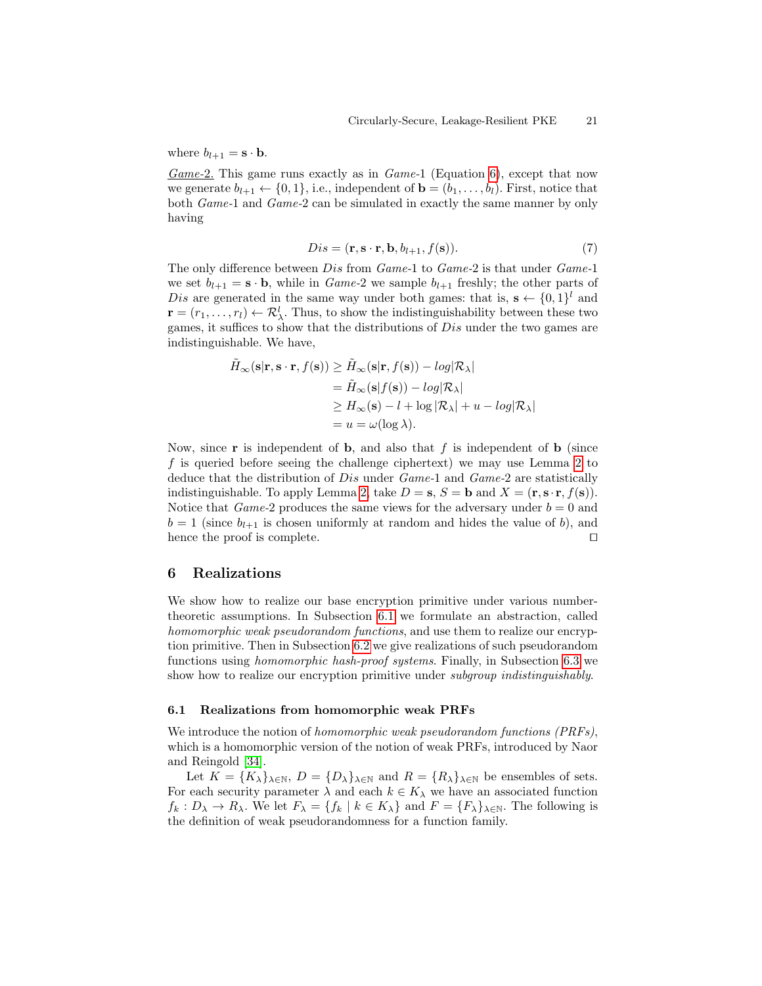where  $b_{l+1} = \mathbf{s} \cdot \mathbf{b}$ .

Game-2. This game runs exactly as in  $Game-1$  (Equation [6\)](#page-19-1), except that now we generate  $b_{l+1} \leftarrow \{0, 1\}$ , i.e., independent of  $\mathbf{b} = (b_1, \ldots, b_l)$ . First, notice that both Game-1 and Game-2 can be simulated in exactly the same manner by only having

$$
Dis = (\mathbf{r}, \mathbf{s} \cdot \mathbf{r}, \mathbf{b}, b_{l+1}, f(\mathbf{s})). \tag{7}
$$

The only difference between *Dis* from *Game*-1 to *Game*-2 is that under *Game*-1 we set  $b_{l+1} = s \cdot b$ , while in *Game-2* we sample  $b_{l+1}$  freshly; the other parts of Dis are generated in the same way under both games: that is,  $\mathbf{s} \leftarrow \{0,1\}^l$  and  $\mathbf{r} = (r_1, \ldots, r_l) \leftarrow \mathcal{R}_{\lambda}^l$ . Thus, to show the indistinguishability between these two games, it suffices to show that the distributions of Dis under the two games are indistinguishable. We have,

$$
\tilde{H}_{\infty}(\mathbf{s}|\mathbf{r}, \mathbf{s} \cdot \mathbf{r}, f(\mathbf{s})) \ge \tilde{H}_{\infty}(\mathbf{s}|\mathbf{r}, f(\mathbf{s})) - \log |\mathcal{R}_{\lambda}|
$$
\n
$$
= \tilde{H}_{\infty}(\mathbf{s}|f(\mathbf{s})) - \log |\mathcal{R}_{\lambda}|
$$
\n
$$
\ge H_{\infty}(\mathbf{s}) - l + \log |\mathcal{R}_{\lambda}| + u - \log |\mathcal{R}_{\lambda}|
$$
\n
$$
= u = \omega(\log \lambda).
$$

Now, since  $\bf{r}$  is independent of  $\bf{b}$ , and also that  $f$  is independent of  $\bf{b}$  (since f is queried before seeing the challenge ciphertext) we may use Lemma [2](#page-14-1) to deduce that the distribution of *Dis* under *Game*-1 and *Game-2* are statistically indistinguishable. To apply Lemma [2,](#page-14-1) take  $D = s$ ,  $S = b$  and  $X = (\mathbf{r}, \mathbf{s} \cdot \mathbf{r}, f(\mathbf{s}))$ . Notice that *Game-2* produces the same views for the adversary under  $b = 0$  and  $b = 1$  (since  $b_{l+1}$  is chosen uniformly at random and hides the value of b), and hence the proof is complete.  $\Box$ 

# 6 Realizations

We show how to realize our base encryption primitive under various numbertheoretic assumptions. In Subsection [6.1](#page-20-0) we formulate an abstraction, called homomorphic weak pseudorandom functions, and use them to realize our encryption primitive. Then in Subsection [6.2](#page-21-1) we give realizations of such pseudorandom functions using homomorphic hash-proof systems. Finally, in Subsection [6.3](#page-23-1) we show how to realize our encryption primitive under *subgroup indistinguishably*.

#### <span id="page-20-0"></span>6.1 Realizations from homomorphic weak PRFs

We introduce the notion of homomorphic weak pseudorandom functions (PRFs), which is a homomorphic version of the notion of weak PRFs, introduced by Naor and Reingold [\[34\]](#page-29-11).

Let  $K = \{K_{\lambda}\}_{\lambda \in \mathbb{N}}, D = \{D_{\lambda}\}_{\lambda \in \mathbb{N}}$  and  $R = \{R_{\lambda}\}_{\lambda \in \mathbb{N}}$  be ensembles of sets. For each security parameter  $\lambda$  and each  $k \in K_{\lambda}$  we have an associated function  $f_k: D_\lambda \to R_\lambda$ . We let  $F_\lambda = \{f_k \mid k \in K_\lambda\}$  and  $F = \{F_\lambda\}_{\lambda \in \mathbb{N}}$ . The following is the definition of weak pseudorandomness for a function family.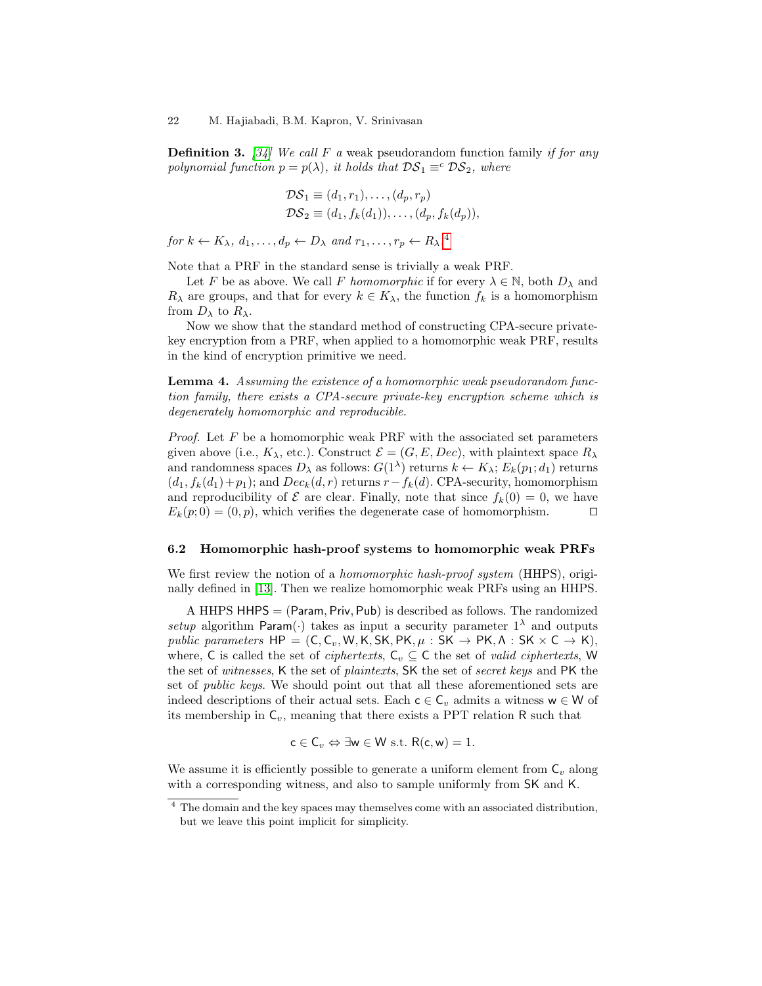**Definition 3.** [\[34\]](#page-29-11) We call F a weak pseudorandom function family if for any polynomial function  $p = p(\lambda)$ , it holds that  $DS_1 \equiv^c DS_2$ , where

$$
\mathcal{DS}_1 \equiv (d_1, r_1), \dots, (d_p, r_p)
$$
  

$$
\mathcal{DS}_2 \equiv (d_1, f_k(d_1)), \dots, (d_p, f_k(d_p)),
$$

for  $k \leftarrow K_{\lambda}, d_1, \ldots, d_p \leftarrow D_{\lambda}$  and  $r_1, \ldots, r_p \leftarrow R_{\lambda}$ .<sup>[4](#page-21-2)</sup>

Note that a PRF in the standard sense is trivially a weak PRF.

Let F be as above. We call F homomorphic if for every  $\lambda \in \mathbb{N}$ , both  $D_{\lambda}$  and  $R_{\lambda}$  are groups, and that for every  $k \in K_{\lambda}$ , the function  $f_k$  is a homomorphism from  $D_{\lambda}$  to  $R_{\lambda}$ .

Now we show that the standard method of constructing CPA-secure privatekey encryption from a PRF, when applied to a homomorphic weak PRF, results in the kind of encryption primitive we need.

<span id="page-21-0"></span>Lemma 4. Assuming the existence of a homomorphic weak pseudorandom function family, there exists a CPA-secure private-key encryption scheme which is degenerately homomorphic and reproducible.

*Proof.* Let  $F$  be a homomorphic weak PRF with the associated set parameters given above (i.e.,  $K_{\lambda}$ , etc.). Construct  $\mathcal{E} = (G, E, Dec)$ , with plaintext space  $R_{\lambda}$ and randomness spaces  $D_{\lambda}$  as follows:  $G(1^{\lambda})$  returns  $k \leftarrow K_{\lambda}$ ;  $E_k(p_1; d_1)$  returns  $(d_1, f_k(d_1)+p_1)$ ; and  $Dec_k(d, r)$  returns  $r-f_k(d)$ . CPA-security, homomorphism and reproducibility of  $\mathcal E$  are clear. Finally, note that since  $f_k(0) = 0$ , we have  $E_k(p; 0) = (0, p)$ , which verifies the degenerate case of homomorphism.

## <span id="page-21-1"></span>6.2 Homomorphic hash-proof systems to homomorphic weak PRFs

We first review the notion of a *homomorphic hash-proof system* (HHPS), originally defined in [\[13\]](#page-28-12). Then we realize homomorphic weak PRFs using an HHPS.

A HHPS HHPS = (Param, Priv, Pub) is described as follows. The randomized setup algorithm Param(·) takes as input a security parameter  $1^{\lambda}$  and outputs public parameters  $HP = (C, C_v, W, K, SK, PK, \mu : SK \rightarrow PK, \Lambda : SK \times C \rightarrow K),$ where, C is called the set of *ciphertexts*,  $C_v \subseteq C$  the set of *valid ciphertexts*, W the set of witnesses, K the set of plaintexts, SK the set of secret keys and PK the set of public keys. We should point out that all these aforementioned sets are indeed descriptions of their actual sets. Each  $c \in C_v$  admits a witness  $w \in W$  of its membership in  $C_v$ , meaning that there exists a PPT relation R such that

$$
\mathsf{c}\in\mathsf{C}_v\Leftrightarrow\exists\mathsf{w}\in\mathsf{W}\text{ s.t. }\mathsf{R}(\mathsf{c},\mathsf{w})=1.
$$

We assume it is efficiently possible to generate a uniform element from  $C_v$  along with a corresponding witness, and also to sample uniformly from SK and K.

<span id="page-21-2"></span><sup>4</sup> The domain and the key spaces may themselves come with an associated distribution, but we leave this point implicit for simplicity.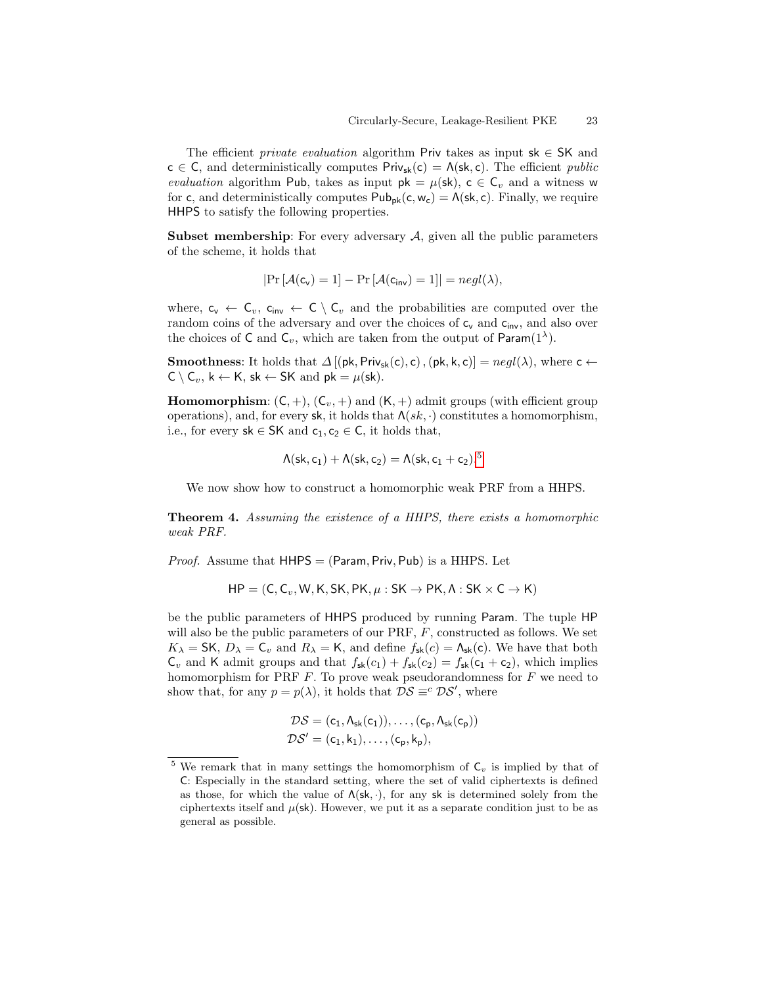The efficient *private evaluation* algorithm Priv takes as input  $sk \in SK$  and  $c \in C$ , and deterministically computes Priv<sub>sk</sub>(c) =  $\Lambda$ (sk, c). The efficient *public* evaluation algorithm Pub, takes as input  $pk = \mu(sk)$ ,  $c \in C_v$  and a witness w for c, and deterministically computes  $Pub_{pk}(c, w_c) = \Lambda(s k, c)$ . Finally, we require HHPS to satisfy the following properties.

**Subset membership:** For every adversary  $A$ , given all the public parameters of the scheme, it holds that

$$
|\Pr[\mathcal{A}(c_v) = 1] - \Pr[\mathcal{A}(c_{\text{inv}}) = 1]| = \text{negl}(\lambda),
$$

where,  $c_v \leftarrow C_v$ ,  $c_{inv} \leftarrow C \setminus C_v$  and the probabilities are computed over the random coins of the adversary and over the choices of  $c_v$  and  $c_{inv}$ , and also over the choices of C and  $C_v$ , which are taken from the output of Param(1<sup> $\lambda$ </sup>).

**Smoothness:** It holds that  $\Delta$  [(pk, Priv<sub>sk</sub>(c), c), (pk, k, c)] =  $negl(\lambda)$ , where c ←  $C \setminus C_v$ ,  $k \leftarrow K$ , sk  $\leftarrow$  SK and pk =  $\mu$ (sk).

**Homomorphism:**  $(C, +)$ ,  $(C_v, +)$  and  $(K, +)$  admit groups (with efficient group operations), and, for every sk, it holds that  $\Lambda(sk, \cdot)$  constitutes a homomorphism, i.e., for every  $sk \in SK$  and  $c_1, c_2 \in C$ , it holds that,

$$
\Lambda(\mathsf{sk},\mathsf{c}_1) + \Lambda(\mathsf{sk},\mathsf{c}_2) = \Lambda(\mathsf{sk},\mathsf{c}_1+\mathsf{c}_2).{}^5
$$

We now show how to construct a homomorphic weak PRF from a HHPS.

<span id="page-22-0"></span>Theorem 4. Assuming the existence of a HHPS, there exists a homomorphic weak PRF.

*Proof.* Assume that  $HHPS = (Param, Priv, Pub)$  is a  $HHPS$ . Let

$$
HP = (C, C_v, W, K, SK, PK, \mu : SK \rightarrow PK, \Lambda : SK \times C \rightarrow K)
$$

be the public parameters of HHPS produced by running Param. The tuple HP will also be the public parameters of our PRF, F, constructed as follows. We set  $K_{\lambda} = \mathsf{SK}, D_{\lambda} = \mathsf{C}_v$  and  $R_{\lambda} = \mathsf{K}$ , and define  $f_{\mathsf{sk}}(c) = \Lambda_{\mathsf{sk}}(c)$ . We have that both  $C_v$  and K admit groups and that  $f_{\text{sk}}(c_1) + f_{\text{sk}}(c_2) = f_{\text{sk}}(c_1 + c_2)$ , which implies homomorphism for PRF  $F$ . To prove weak pseudorandomness for  $F$  we need to show that, for any  $p = p(\lambda)$ , it holds that  $\mathcal{DS} \equiv^c \mathcal{DS}'$ , where

$$
\mathcal{DS} = (c_1, \Lambda_{sk}(c_1)), \ldots, (c_p, \Lambda_{sk}(c_p))
$$
  

$$
\mathcal{DS}' = (c_1, k_1), \ldots, (c_p, k_p),
$$

<span id="page-22-1"></span><sup>&</sup>lt;sup>5</sup> We remark that in many settings the homomorphism of  $C_v$  is implied by that of C: Especially in the standard setting, where the set of valid ciphertexts is defined as those, for which the value of  $\Lambda(\mathsf{sk}, \cdot)$ , for any sk is determined solely from the ciphertexts itself and  $\mu$ (sk). However, we put it as a separate condition just to be as general as possible.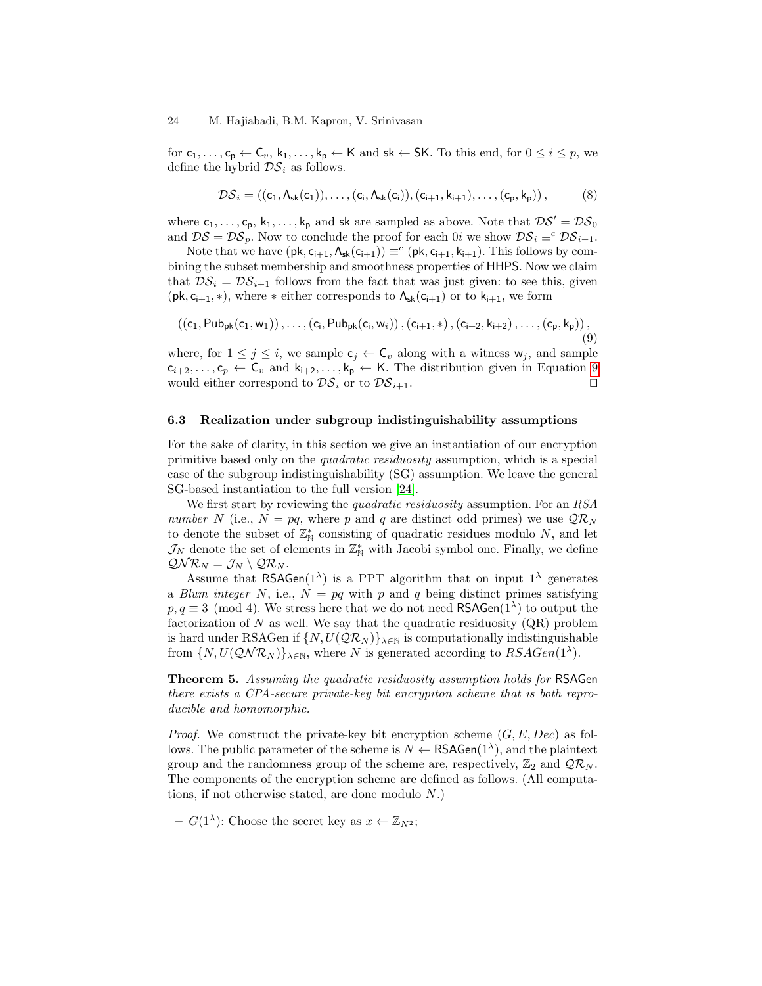for  $c_1, \ldots, c_p \leftarrow C_v, k_1, \ldots, k_p \leftarrow K$  and  $sk \leftarrow SK$ . To this end, for  $0 \leq i \leq p$ , we define the hybrid  $\mathcal{DS}_i$  as follows.

$$
\mathcal{DS}_i = \left( (c_1, \Lambda_{sk}(c_1)), \ldots, (c_i, \Lambda_{sk}(c_i)), (c_{i+1}, k_{i+1}), \ldots, (c_p, k_p) \right),\tag{8}
$$

where  $c_1,\ldots,c_p,\,k_1,\ldots,k_p$  and  $sk$  are sampled as above. Note that  $\mathcal{DS}'=\mathcal{DS}_0$ and  $\mathcal{DS} = \mathcal{DS}_p$ . Now to conclude the proof for each 0i we show  $\mathcal{DS}_i \equiv^c \mathcal{DS}_{i+1}$ .

Note that we have  $(\mathsf{pk}, \mathsf{c}_{i+1}, \Lambda_{\mathsf{sk}}(\mathsf{c}_{i+1})) \equiv^c (\mathsf{pk}, \mathsf{c}_{i+1}, \mathsf{k}_{i+1})$ . This follows by combining the subset membership and smoothness properties of HHPS. Now we claim that  $DS_i = DS_{i+1}$  follows from the fact that was just given: to see this, given  $(\mathsf{pk}, \mathsf{c}_{i+1}, *)$ , where  $*$  either corresponds to  $\Lambda_{\mathsf{sk}}(\mathsf{c}_{i+1})$  or to  $k_{i+1}$ , we form

<span id="page-23-2"></span>
$$
\left(\left(c_{1},Pub_{pk}(c_{1}, w_{1})\right), \ldots,\left(c_{i},Pub_{pk}(c_{i}, w_{i})\right),\left(c_{i+1}, \ast\right),\left(c_{i+2}, k_{i+2}\right), \ldots,\left(c_{p}, k_{p}\right)\right), \tag{9}
$$

where, for  $1 \leq j \leq i$ , we sample  $c_j \leftarrow c_j$  along with a witness  $w_j$ , and sample  $c_{i+2}, \ldots, c_p \leftarrow C_v$  and  $k_{i+2}, \ldots, k_p \leftarrow K$ . The distribution given in Equation [9](#page-23-2) would either correspond to  $\mathcal{DS}_i$  or to  $\mathcal{DS}_{i+1}$ .

## <span id="page-23-1"></span>6.3 Realization under subgroup indistinguishability assumptions

For the sake of clarity, in this section we give an instantiation of our encryption primitive based only on the quadratic residuosity assumption, which is a special case of the subgroup indistinguishability (SG) assumption. We leave the general SG-based instantiation to the full version [\[24\]](#page-29-16).

We first start by reviewing the *quadratic residuosity* assumption. For an RSA number N (i.e.,  $N = pq$ , where p and q are distinct odd primes) we use  $\mathcal{QR}_N$ to denote the subset of  $\mathbb{Z}_N^*$  consisting of quadratic residues modulo N, and let  $\mathcal{J}_N$  denote the set of elements in  $\mathbb{Z}_N^*$  with Jacobi symbol one. Finally, we define  $\mathcal{QNR}_N = \mathcal{J}_N \setminus \mathcal{QR}_N$ .

Assume that RSAGen( $1^{\lambda}$ ) is a PPT algorithm that on input  $1^{\lambda}$  generates a Blum integer N, i.e.,  $N = pq$  with p and q being distinct primes satisfying  $p, q \equiv 3 \pmod{4}$ . We stress here that we do not need RSAGen(1<sup> $\lambda$ </sup>) to output the factorization of  $N$  as well. We say that the quadratic residuosity  $(QR)$  problem is hard under RSAGen if  $\{N, U(Q\mathcal{R}_N)\}_{\lambda \in \mathbb{N}}$  is computationally indistinguishable from  $\{N, U(QNR_N)\}_{\lambda \in \mathbb{N}}$ , where N is generated according to  $RSAGen(1^{\lambda})$ .

<span id="page-23-0"></span>Theorem 5. Assuming the quadratic residuosity assumption holds for RSAGen there exists a CPA-secure private-key bit encrypiton scheme that is both reproducible and homomorphic.

*Proof.* We construct the private-key bit encryption scheme  $(G, E, Dec)$  as follows. The public parameter of the scheme is  $N \leftarrow \mathsf{RSAGen}(1^{\lambda})$ , and the plaintext group and the randomness group of the scheme are, respectively,  $\mathbb{Z}_2$  and  $\mathcal{QR}_N$ . The components of the encryption scheme are defined as follows. (All computations, if not otherwise stated, are done modulo  $N$ .)

 $-G(1^{\lambda})$ : Choose the secret key as  $x \leftarrow \mathbb{Z}_{N^2}$ ;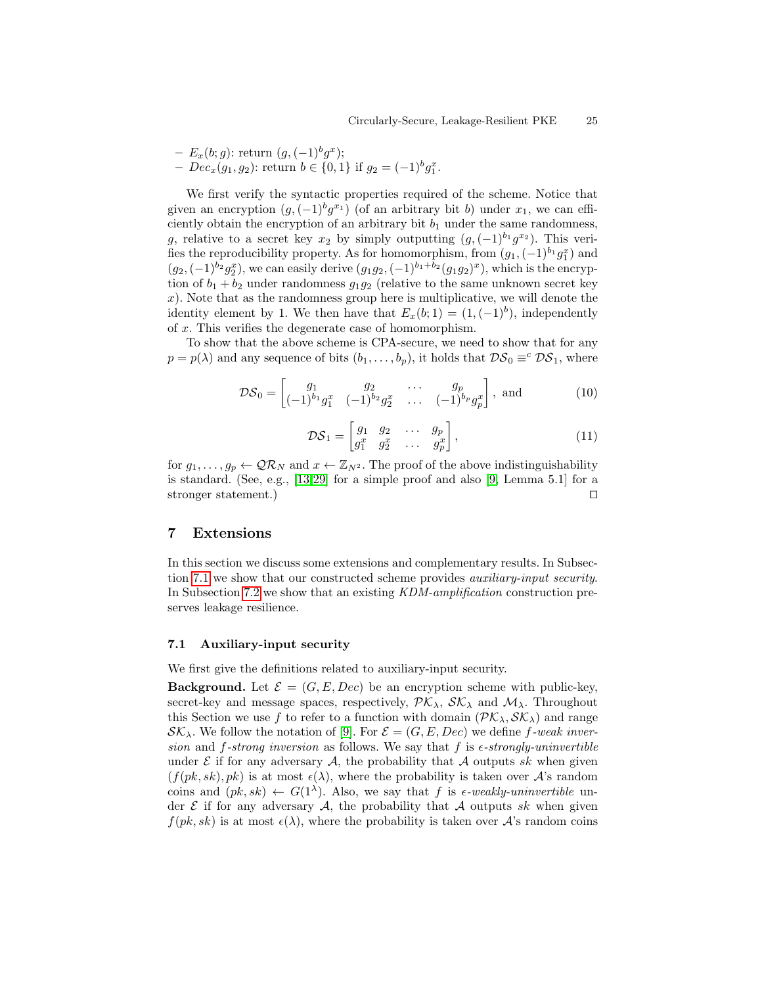$- E_x(b; g)$ : return  $(g, (-1)^b g^x)$ ; - Dec<sub>x</sub>(g<sub>1</sub>, g<sub>2</sub>): return b ∈ {0, 1} if  $g_2 = (-1)^b g_1^x$ .

We first verify the syntactic properties required of the scheme. Notice that given an encryption  $(g, (-1)^b g^{x_1})$  (of an arbitrary bit b) under  $x_1$ , we can efficiently obtain the encryption of an arbitrary bit  $b_1$  under the same randomness, g, relative to a secret key  $x_2$  by simply outputting  $(g, (-1)^{b_1} g^{x_2})$ . This verifies the reproducibility property. As for homomorphism, from  $(g_1, (-1)^{b_1} g_1^x)$  and  $(g_2,(-1)^{b_2}g_2^x)$ , we can easily derive  $(g_1g_2,(-1)^{b_1+b_2}(g_1g_2)^x)$ , which is the encryption of  $b_1 + b_2$  under randomness  $g_1g_2$  (relative to the same unknown secret key  $x$ ). Note that as the randomness group here is multiplicative, we will denote the identity element by 1. We then have that  $E_x(b; 1) = (1, (-1)^b)$ , independently of x. This verifies the degenerate case of homomorphism.

To show that the above scheme is CPA-secure, we need to show that for any  $p = p(\lambda)$  and any sequence of bits  $(b_1, \ldots, b_p)$ , it holds that  $\mathcal{DS}_0 \equiv^c \mathcal{DS}_1$ , where

$$
\mathcal{DS}_0 = \begin{bmatrix} g_1 & g_2 & \cdots & g_p \\ (-1)^{b_1} g_1^x & (-1)^{b_2} g_2^x & \cdots & (-1)^{b_p} g_p^x \end{bmatrix}, \text{ and } (10)
$$

$$
\mathcal{DS}_1 = \begin{bmatrix} g_1 & g_2 & \cdots & g_p \\ g_1^x & g_2^x & \cdots & g_p^x \end{bmatrix},\tag{11}
$$

for  $g_1, \ldots, g_p \leftarrow \mathcal{QR}_N$  and  $x \leftarrow \mathbb{Z}_{N^2}$ . The proof of the above indistinguishability is standard. (See, e.g., [\[13,](#page-28-12)[29\]](#page-29-17) for a simple proof and also [\[9,](#page-28-5) Lemma 5.1] for a stronger statement.)

# 7 Extensions

In this section we discuss some extensions and complementary results. In Subsection [7.1](#page-24-0) we show that our constructed scheme provides auxiliary-input security. In Subsection [7.2](#page-26-1) we show that an existing KDM-amplification construction preserves leakage resilience.

## <span id="page-24-0"></span>7.1 Auxiliary-input security

We first give the definitions related to auxiliary-input security.

**Background.** Let  $\mathcal{E} = (G, E, Dec)$  be an encryption scheme with public-key, secret-key and message spaces, respectively,  $\mathcal{PK}_{\lambda}$ ,  $\mathcal{SK}_{\lambda}$  and  $\mathcal{M}_{\lambda}$ . Throughout this Section we use f to refer to a function with domain  $(\mathcal{PK}_\lambda, \mathcal{SK}_\lambda)$  and range  $\mathcal{SK}_\lambda$ . We follow the notation of [\[9\]](#page-28-5). For  $\mathcal{E} = (G, E, Dec)$  we define f-weak inversion and f-strong inversion as follows. We say that f is  $\epsilon$ -strongly-uninvertible under  $\mathcal E$  if for any adversary  $\mathcal A$ , the probability that  $\mathcal A$  outputs sk when given  $(f(pk, sk), pk)$  is at most  $\epsilon(\lambda)$ , where the probability is taken over A's random coins and  $(pk, sk) \leftarrow G(1^{\lambda})$ . Also, we say that f is  $\epsilon$ -weakly-uninvertible under  $\mathcal E$  if for any adversary  $\mathcal A$ , the probability that  $\mathcal A$  outputs sk when given  $f(pk, sk)$  is at most  $\epsilon(\lambda)$ , where the probability is taken over A's random coins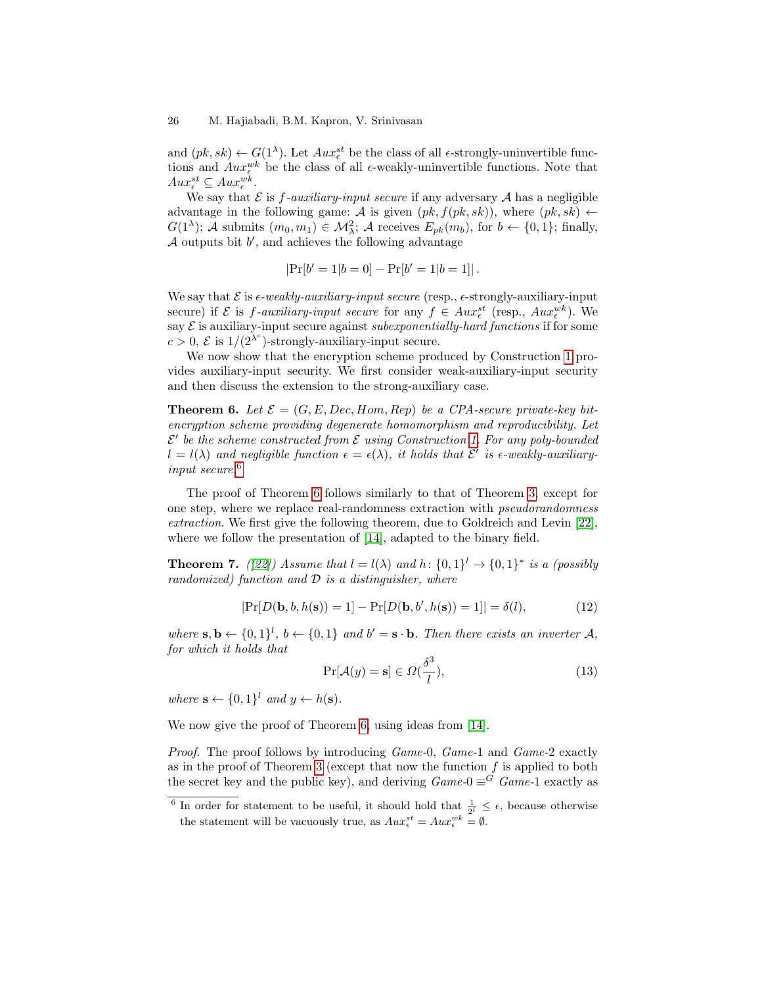and  $(pk, sk) \leftarrow G(1^{\lambda})$ . Let  $Aux_{\epsilon}^{st}$  be the class of all  $\epsilon$ -strongly-uninvertible functions and  $Aux_{\epsilon}^{wk}$  be the class of all  $\epsilon$ -weakly-uninvertible functions. Note that  $Aux_{\epsilon}^{st}\subseteq Aux_{\epsilon}^{wk}.$ 

We say that  $\mathcal E$  is f-auxiliary-input secure if any adversary  $\mathcal A$  has a negligible advantage in the following game: A is given  $(pk, f(pk, sk))$ , where  $(pk, sk)$  $G(1^{\lambda});$  A submits  $(m_0, m_1) \in \mathcal{M}^2_{\lambda};$  A receives  $E_{pk}(m_b)$ , for  $b \leftarrow \{0, 1\};$  finally,  $A$  outputs bit  $b'$ , and achieves the following advantage

<span id="page-25-0"></span>
$$
|\Pr[b' = 1 | b = 0] - \Pr[b' = 1 | b = 1]|.
$$

We say that  $\mathcal E$  is  $\epsilon$ -weakly-auxiliary-input secure (resp.,  $\epsilon$ -strongly-auxiliary-input secure) if  $\mathcal E$  is f-auxiliary-input secure for any  $f \in Aux_{\epsilon}^{st}$  (resp.,  $Aux_{\epsilon}^{wk}$ ). We say  $\mathcal E$  is auxiliary-input secure against *subexponentially-hard functions* if for some  $c > 0$ ,  $\mathcal{E}$  is  $1/(2^{\lambda^c})$ -strongly-auxiliary-input secure.

We now show that the encryption scheme produced by Construction [1](#page-12-1) provides auxiliary-input security. We first consider weak-auxiliary-input security and then discuss the extension to the strong-auxiliary case.

**Theorem 6.** Let  $\mathcal{E} = (G, E, Dec, Hom, Rep)$  be a CPA-secure private-key bitencryption scheme providing degenerate homomorphism and reproducibility. Let  $\mathcal{E}'$  be the scheme constructed from  $\mathcal E$  using Construction [1.](#page-12-1) For any poly-bounded  $l = l(\lambda)$  and negligible function  $\epsilon = \epsilon(\lambda)$ , it holds that  $\mathcal{E}'$  is  $\epsilon$ -weakly-auxiliaryinput secure.[6](#page-25-1)

The proof of Theorem [6](#page-25-0) follows similarly to that of Theorem [3,](#page-18-1) except for one step, where we replace real-randomness extraction with pseudorandomness extraction. We first give the following theorem, due to Goldreich and Levin [\[22\]](#page-28-15), where we follow the presentation of [\[14\]](#page-28-4), adapted to the binary field.

<span id="page-25-2"></span>**Theorem 7.** ([\[22\]](#page-28-15)) Assume that  $l = l(\lambda)$  and  $h: \{0,1\}^l \to \{0,1\}^*$  is a (possibly randomized) function and  $D$  is a distinguisher, where

$$
|\Pr[D(\mathbf{b}, b, h(\mathbf{s})) = 1] - \Pr[D(\mathbf{b}, b', h(\mathbf{s})) = 1]| = \delta(l),
$$
 (12)

where  $\mathbf{s}, \mathbf{b} \leftarrow \{0,1\}^l$ ,  $b \leftarrow \{0,1\}$  and  $b' = \mathbf{s} \cdot \mathbf{b}$ . Then there exists an inverter A, for which it holds that

$$
\Pr[\mathcal{A}(y) = \mathbf{s}] \in \Omega(\frac{\delta^3}{l}),\tag{13}
$$

where  $\mathbf{s} \leftarrow \{0,1\}^l$  and  $y \leftarrow h(\mathbf{s})$ .

We now give the proof of Theorem [6,](#page-25-0) using ideas from [\[14\]](#page-28-4).

Proof. The proof follows by introducing Game-0, Game-1 and Game-2 exactly as in the proof of Theorem [3](#page-18-1) (except that now the function  $f$  is applied to both the secret key and the public key), and deriving  $Game_0 \equiv G \; Game-1$  exactly as

<span id="page-25-1"></span><sup>&</sup>lt;sup>6</sup> In order for statement to be useful, it should hold that  $\frac{1}{2^l} \leq \epsilon$ , because otherwise the statement will be vacuously true, as  $Aux_{\epsilon}^{st} = Aux_{\epsilon}^{wk} = \emptyset$ .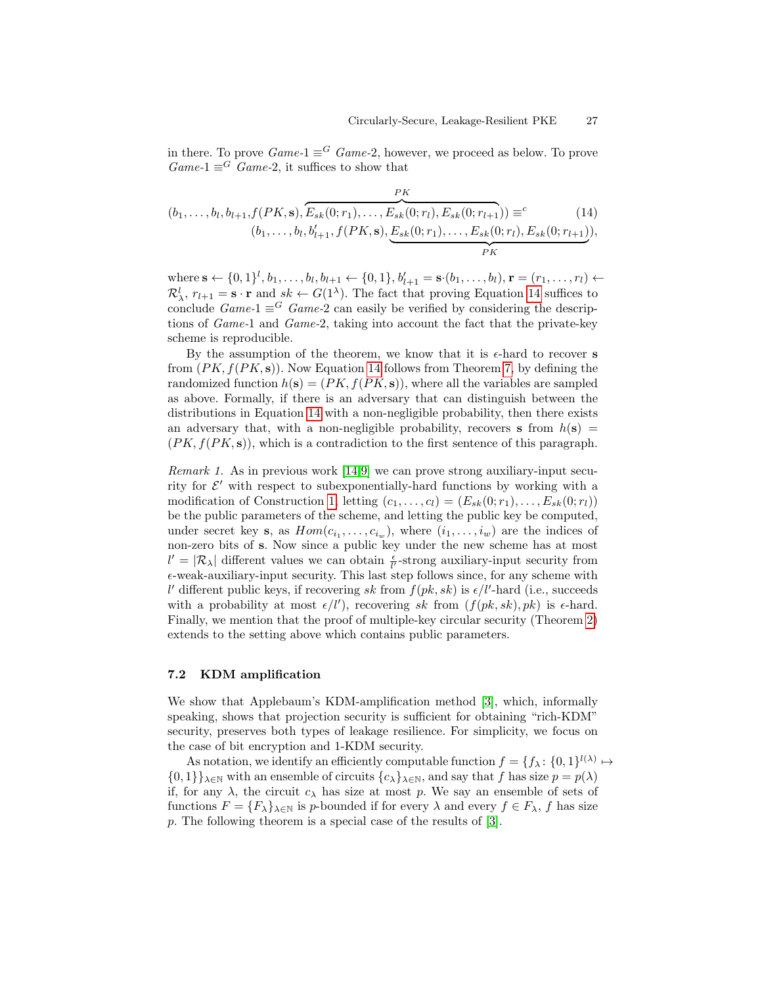in there. To prove  $Game_1 \equiv^G Game_2$ , however, we proceed as below. To prove  $Game-1 \equiv G \text{ Game-2}$ , it suffices to show that

<span id="page-26-2"></span>
$$
(b_1, \ldots, b_l, b_{l+1}, f(PK, \mathbf{s}), \overbrace{E_{sk}(0; r_1), \ldots, E_{sk}(0; r_l), E_{sk}(0; r_{l+1})}_{(b_1, \ldots, b_l, b'_{l+1}, f(PK, \mathbf{s}), \underline{E}_{sk}(0; r_1), \ldots, \underline{E}_{sk}(0; r_l), E_{sk}(0; r_{l+1})}_{PK}),
$$
\n(14)

where  $\mathbf{s} \leftarrow \{0, 1\}^l, b_1, \ldots, b_l, b_{l+1} \leftarrow \{0, 1\}, b'_{l+1} = \mathbf{s} \cdot (b_1, \ldots, b_l), \mathbf{r} = (r_1, \ldots, r_l) \leftarrow$  $\mathcal{R}^l_\lambda$ ,  $r_{l+1} = \mathbf{s} \cdot \mathbf{r}$  and  $sk \leftarrow G(1^\lambda)$ . The fact that proving Equation [14](#page-26-2) suffices to conclude  $Game-1 \equiv G \text{ Game-2}$  can easily be verified by considering the descriptions of Game-1 and Game-2, taking into account the fact that the private-key scheme is reproducible.

By the assumption of the theorem, we know that it is  $\epsilon$ -hard to recover s from  $(PK, f(PK, s))$ . Now Equation [14](#page-26-2) follows from Theorem [7,](#page-25-2) by defining the randomized function  $h(\mathbf{s}) = (PK, f(PK, \mathbf{s}))$ , where all the variables are sampled as above. Formally, if there is an adversary that can distinguish between the distributions in Equation [14](#page-26-2) with a non-negligible probability, then there exists an adversary that, with a non-negligible probability, recovers s from  $h(s)$  =  $(PK, f(PK, s))$ , which is a contradiction to the first sentence of this paragraph.

<span id="page-26-0"></span>Remark 1. As in previous work [\[14](#page-28-4)[,9\]](#page-28-5) we can prove strong auxiliary-input security for  $\mathcal{E}'$  with respect to subexponentially-hard functions by working with a modification of Construction [1,](#page-12-1) letting  $(c_1, \ldots, c_l) = (E_{sk}(0; r_1), \ldots, E_{sk}(0; r_l))$ be the public parameters of the scheme, and letting the public key be computed, under secret key **s**, as  $Hom(c_{i_1}, \ldots, c_{i_w})$ , where  $(i_1, \ldots, i_w)$  are the indices of non-zero bits of s. Now since a public key under the new scheme has at most  $l' = |\mathcal{R}_{\lambda}|$  different values we can obtain  $\frac{\epsilon}{l'}$ -strong auxiliary-input security from  $\epsilon$ -weak-auxiliary-input security. This last step follows since, for any scheme with l' different public keys, if recovering sk from  $f(pk, sk)$  is  $\epsilon/l'$ -hard (i.e., succeeds with a probability at most  $\epsilon/l'$ , recovering sk from  $(f(pk, sk), pk)$  is  $\epsilon$ -hard. Finally, we mention that the proof of multiple-key circular security (Theorem [2\)](#page-18-0) extends to the setting above which contains public parameters.

# <span id="page-26-1"></span>7.2 KDM amplification

We show that Applebaum's KDM-amplification method [\[3\]](#page-27-2), which, informally speaking, shows that projection security is sufficient for obtaining "rich-KDM" security, preserves both types of leakage resilience. For simplicity, we focus on the case of bit encryption and 1-KDM security.

<span id="page-26-3"></span>As notation, we identify an efficiently computable function  $f = \{f_\lambda : \{0,1\}^{l(\lambda)} \mapsto$  $\{0,1\}\}_{\lambda\in\mathbb{N}}$  with an ensemble of circuits  $\{c_{\lambda}\}_{\lambda\in\mathbb{N}}$ , and say that f has size  $p = p(\lambda)$ if, for any  $\lambda$ , the circuit  $c_{\lambda}$  has size at most p. We say an ensemble of sets of functions  $F = \{F_\lambda\}_{\lambda \in \mathbb{N}}$  is p-bounded if for every  $\lambda$  and every  $f \in F_\lambda$ , f has size p. The following theorem is a special case of the results of [\[3\]](#page-27-2).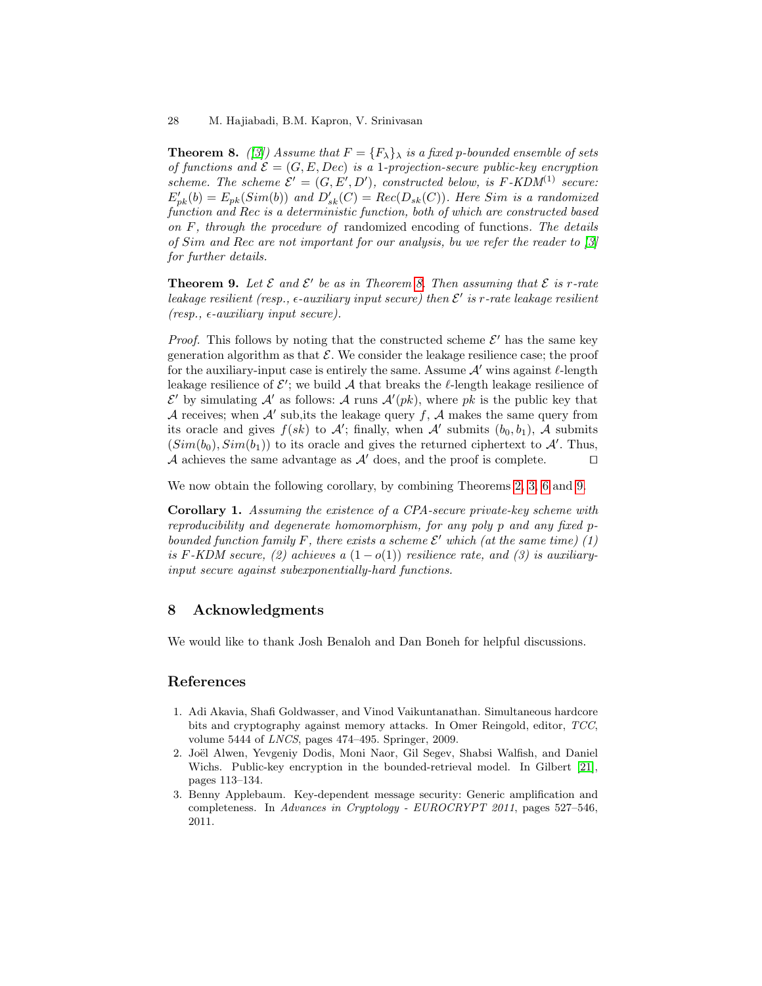**Theorem 8.** ([\[3\]](#page-27-2)) Assume that  $F = \{F_{\lambda}\}\$  is a fixed p-bounded ensemble of sets of functions and  $\mathcal{E} = (G, E, Dec)$  is a 1-projection-secure public-key encryption scheme. The scheme  $\mathcal{E}' = (G, E', D')$ , constructed below, is F-KDM<sup>(1)</sup> secure:  $E'_{pk}(b) = E_{pk}(Sim(b))$  and  $D'_{sk}(C) = Rec(D_{sk}(C))$ . Here Sim is a randomized function and Rec is a deterministic function, both of which are constructed based on  $F$ , through the procedure of randomized encoding of functions. The details of Sim and Rec are not important for our analysis, bu we refer the reader to [\[3\]](#page-27-2) for further details.

<span id="page-27-3"></span>**Theorem 9.** Let  $\mathcal E$  and  $\mathcal E'$  be as in Theorem [8.](#page-26-3) Then assuming that  $\mathcal E$  is r-rate leakage resilient (resp.,  $\epsilon$ -auxiliary input secure) then  $\mathcal{E}'$  is r-rate leakage resilient  $(resp., \epsilon\text{-}auxiliary input secure).$ 

*Proof.* This follows by noting that the constructed scheme  $\mathcal{E}'$  has the same key generation algorithm as that  $\mathcal E$ . We consider the leakage resilience case; the proof for the auxiliary-input case is entirely the same. Assume  $A'$  wins against  $\ell$ -length leakage resilience of  $\mathcal{E}'$ ; we build  $\mathcal{A}$  that breaks the  $\ell$ -length leakage resilience of  $\mathcal{E}'$  by simulating  $\mathcal{A}'$  as follows:  $\mathcal{A}$  runs  $\mathcal{A}'(pk)$ , where pk is the public key that A receives; when  $A'$  sub, its the leakage query f, A makes the same query from its oracle and gives  $f(sk)$  to  $\mathcal{A}'$ ; finally, when  $\mathcal{A}'$  submits  $(b_0, b_1)$ ,  $\mathcal{A}$  submits  $(Sim(b_0), Sim(b_1))$  to its oracle and gives the returned ciphertext to A'. Thus, A achieves the same advantage as  $\mathcal{A}'$  does, and the proof is complete.  $\Box$ 

<span id="page-27-4"></span>We now obtain the following corollary, by combining Theorems [2,](#page-18-0) [3,](#page-18-1) [6](#page-25-0) and [9.](#page-27-3)

Corollary 1. Assuming the existence of a CPA-secure private-key scheme with reproducibility and degenerate homomorphism, for any poly p and any fixed pbounded function family F, there exists a scheme  $\mathcal{E}'$  which (at the same time) (1) is F-KDM secure, (2) achieves a  $(1-o(1))$  resilience rate, and (3) is auxiliaryinput secure against subexponentially-hard functions.

# 8 Acknowledgments

We would like to thank Josh Benaloh and Dan Boneh for helpful discussions.

# References

- <span id="page-27-0"></span>1. Adi Akavia, Shafi Goldwasser, and Vinod Vaikuntanathan. Simultaneous hardcore bits and cryptography against memory attacks. In Omer Reingold, editor, TCC, volume 5444 of LNCS, pages 474–495. Springer, 2009.
- <span id="page-27-1"></span>2. Joël Alwen, Yevgeniy Dodis, Moni Naor, Gil Segev, Shabsi Walfish, and Daniel Wichs. Public-key encryption in the bounded-retrieval model. In Gilbert [\[21\]](#page-28-18), pages 113–134.
- <span id="page-27-2"></span>3. Benny Applebaum. Key-dependent message security: Generic amplification and completeness. In Advances in Cryptology - EUROCRYPT 2011, pages 527–546, 2011.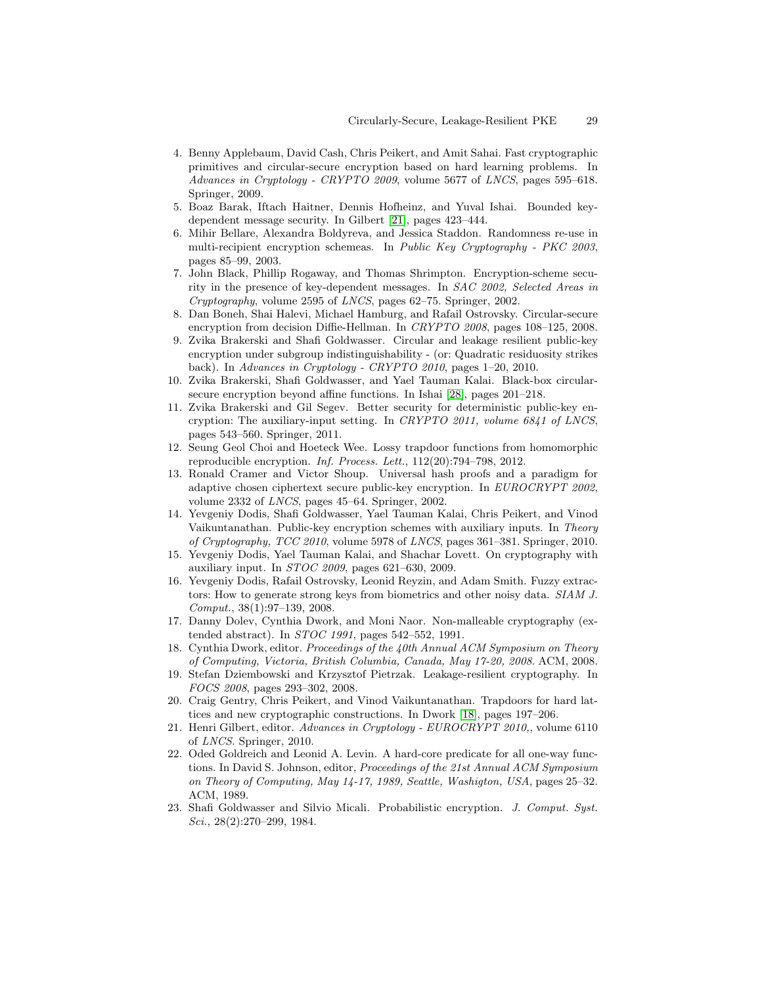- <span id="page-28-9"></span>4. Benny Applebaum, David Cash, Chris Peikert, and Amit Sahai. Fast cryptographic primitives and circular-secure encryption based on hard learning problems. In Advances in Cryptology - CRYPTO 2009, volume 5677 of LNCS, pages 595–618. Springer, 2009.
- <span id="page-28-8"></span>5. Boaz Barak, Iftach Haitner, Dennis Hofheinz, and Yuval Ishai. Bounded keydependent message security. In Gilbert [\[21\]](#page-28-18), pages 423–444.
- <span id="page-28-13"></span>6. Mihir Bellare, Alexandra Boldyreva, and Jessica Staddon. Randomness re-use in multi-recipient encryption schemeas. In Public Key Cryptography - PKC 2003, pages 85–99, 2003.
- <span id="page-28-6"></span>7. John Black, Phillip Rogaway, and Thomas Shrimpton. Encryption-scheme security in the presence of key-dependent messages. In SAC 2002, Selected Areas in Cryptography, volume 2595 of LNCS, pages 62–75. Springer, 2002.
- <span id="page-28-7"></span>8. Dan Boneh, Shai Halevi, Michael Hamburg, and Rafail Ostrovsky. Circular-secure encryption from decision Diffie-Hellman. In CRYPTO 2008, pages 108–125, 2008.
- <span id="page-28-5"></span>9. Zvika Brakerski and Shafi Goldwasser. Circular and leakage resilient public-key encryption under subgroup indistinguishability - (or: Quadratic residuosity strikes back). In Advances in Cryptology - CRYPTO 2010, pages 1–20, 2010.
- <span id="page-28-10"></span>10. Zvika Brakerski, Shafi Goldwasser, and Yael Tauman Kalai. Black-box circularsecure encryption beyond affine functions. In Ishai [\[28\]](#page-29-18), pages 201–218.
- <span id="page-28-16"></span>11. Zvika Brakerski and Gil Segev. Better security for deterministic public-key encryption: The auxiliary-input setting. In CRYPTO 2011, volume 6841 of LNCS, pages 543–560. Springer, 2011.
- <span id="page-28-17"></span>12. Seung Geol Choi and Hoeteck Wee. Lossy trapdoor functions from homomorphic reproducible encryption. Inf. Process. Lett., 112(20):794–798, 2012.
- <span id="page-28-12"></span>13. Ronald Cramer and Victor Shoup. Universal hash proofs and a paradigm for adaptive chosen ciphertext secure public-key encryption. In EUROCRYPT 2002, volume 2332 of LNCS, pages 45–64. Springer, 2002.
- <span id="page-28-4"></span>14. Yevgeniy Dodis, Shafi Goldwasser, Yael Tauman Kalai, Chris Peikert, and Vinod Vaikuntanathan. Public-key encryption schemes with auxiliary inputs. In Theory of Cryptography, TCC 2010, volume 5978 of LNCS, pages 361–381. Springer, 2010.
- <span id="page-28-3"></span>15. Yevgeniy Dodis, Yael Tauman Kalai, and Shachar Lovett. On cryptography with auxiliary input. In STOC 2009, pages 621–630, 2009.
- <span id="page-28-14"></span>16. Yevgeniy Dodis, Rafail Ostrovsky, Leonid Reyzin, and Adam Smith. Fuzzy extractors: How to generate strong keys from biometrics and other noisy data. SIAM J. Comput., 38(1):97–139, 2008.
- <span id="page-28-1"></span>17. Danny Dolev, Cynthia Dwork, and Moni Naor. Non-malleable cryptography (extended abstract). In STOC 1991, pages 542–552, 1991.
- <span id="page-28-19"></span>18. Cynthia Dwork, editor. Proceedings of the 40th Annual ACM Symposium on Theory of Computing, Victoria, British Columbia, Canada, May 17-20, 2008. ACM, 2008.
- <span id="page-28-2"></span>19. Stefan Dziembowski and Krzysztof Pietrzak. Leakage-resilient cryptography. In FOCS 2008, pages 293–302, 2008.
- <span id="page-28-11"></span>20. Craig Gentry, Chris Peikert, and Vinod Vaikuntanathan. Trapdoors for hard lattices and new cryptographic constructions. In Dwork [\[18\]](#page-28-19), pages 197–206.
- <span id="page-28-18"></span>21. Henri Gilbert, editor. Advances in Cryptology - EUROCRYPT 2010,, volume 6110 of LNCS. Springer, 2010.
- <span id="page-28-15"></span>22. Oded Goldreich and Leonid A. Levin. A hard-core predicate for all one-way functions. In David S. Johnson, editor, Proceedings of the 21st Annual ACM Symposium on Theory of Computing, May 14-17, 1989, Seattle, Washigton, USA, pages 25–32. ACM, 1989.
- <span id="page-28-0"></span>23. Shafi Goldwasser and Silvio Micali. Probabilistic encryption. J. Comput. Syst. Sci., 28(2):270–299, 1984.